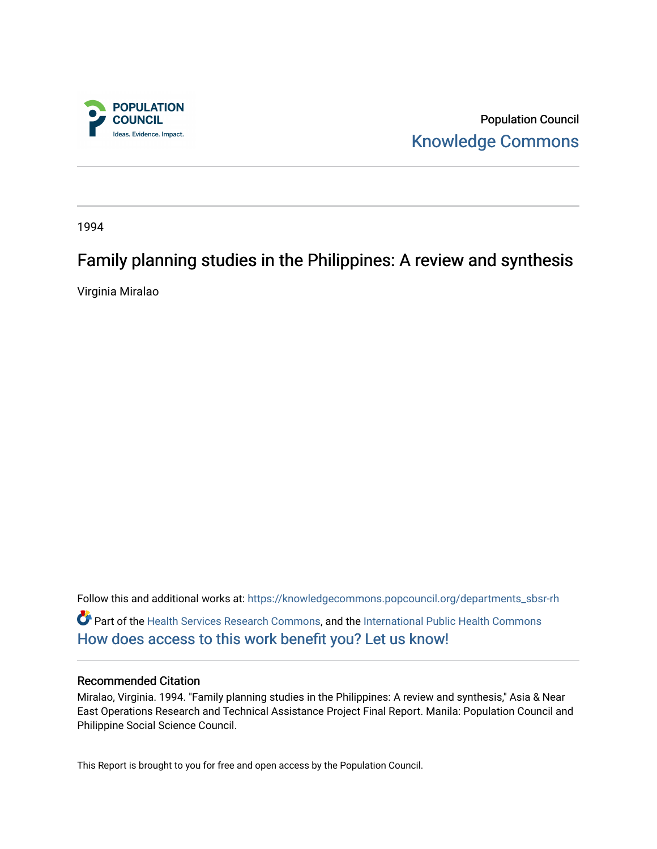

Population Council [Knowledge Commons](https://knowledgecommons.popcouncil.org/) 

1994

# Family planning studies in the Philippines: A review and synthesis

Virginia Miralao

Follow this and additional works at: [https://knowledgecommons.popcouncil.org/departments\\_sbsr-rh](https://knowledgecommons.popcouncil.org/departments_sbsr-rh?utm_source=knowledgecommons.popcouncil.org%2Fdepartments_sbsr-rh%2F2126&utm_medium=PDF&utm_campaign=PDFCoverPages)  Part of the [Health Services Research Commons,](https://network.bepress.com/hgg/discipline/816?utm_source=knowledgecommons.popcouncil.org%2Fdepartments_sbsr-rh%2F2126&utm_medium=PDF&utm_campaign=PDFCoverPages) and the [International Public Health Commons](https://network.bepress.com/hgg/discipline/746?utm_source=knowledgecommons.popcouncil.org%2Fdepartments_sbsr-rh%2F2126&utm_medium=PDF&utm_campaign=PDFCoverPages)  [How does access to this work benefit you? Let us know!](https://pcouncil.wufoo.com/forms/open-access-to-population-council-research/)

#### Recommended Citation

Miralao, Virginia. 1994. "Family planning studies in the Philippines: A review and synthesis," Asia & Near East Operations Research and Technical Assistance Project Final Report. Manila: Population Council and Philippine Social Science Council.

This Report is brought to you for free and open access by the Population Council.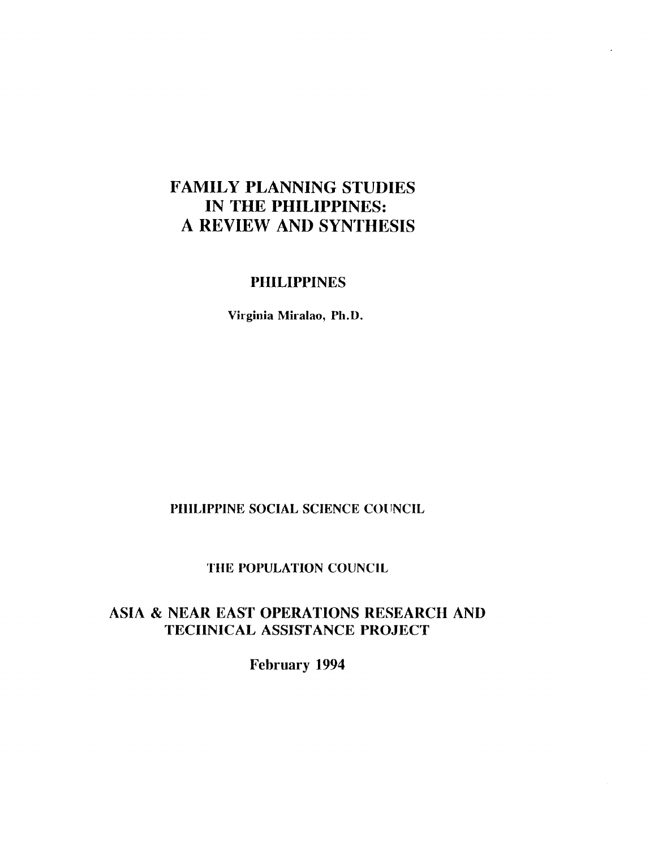# **FAMILY PLANNING STUDIES IN THE PHILIPPINES: A KEVIEW AND SYNTHESIS**

# **PHILIPPINES**

**Virginia Miralao, Ph.D.** 

### **PHILIPPINE SOCIAL SCIENCE COUNCIL**

#### **THE POPULATION COUNCIL**

# **ASIA & NEAK EAST OPERATIONS RESEARCH AND TECIINICAL ASSISTANCE PROJECT**

**February 1994**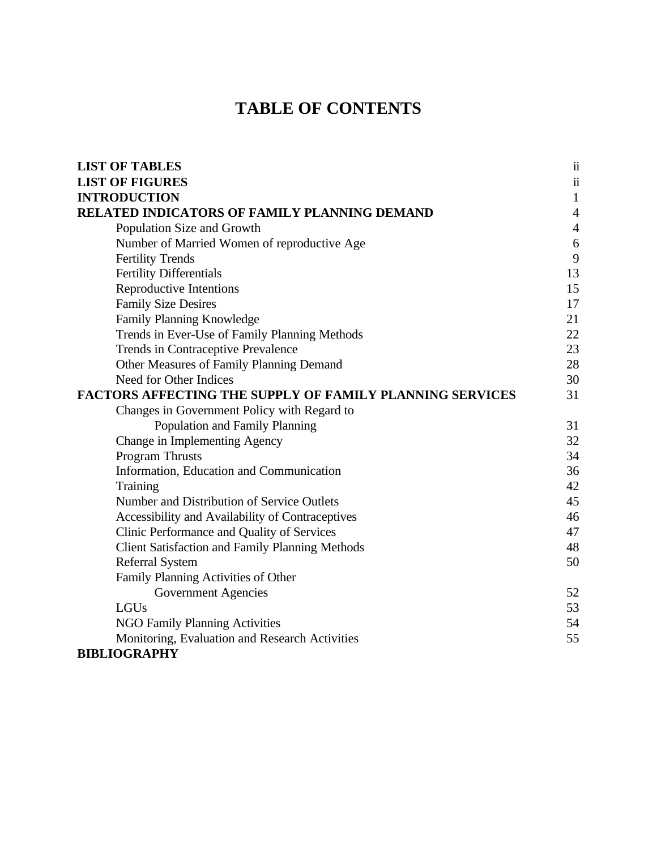# **TABLE OF CONTENTS**

| <b>LIST OF TABLES</b>                                           | $\ddot{\rm n}$   |
|-----------------------------------------------------------------|------------------|
| <b>LIST OF FIGURES</b>                                          | $\ddot{\rm n}$   |
| <b>INTRODUCTION</b>                                             | $\mathbf{1}$     |
| RELATED INDICATORS OF FAMILY PLANNING DEMAND                    | $\overline{4}$   |
| Population Size and Growth                                      | $\overline{4}$   |
| Number of Married Women of reproductive Age                     | $\boldsymbol{6}$ |
| <b>Fertility Trends</b>                                         | 9                |
| <b>Fertility Differentials</b>                                  | 13               |
| Reproductive Intentions                                         | 15               |
| <b>Family Size Desires</b>                                      | 17               |
| Family Planning Knowledge                                       | 21               |
| Trends in Ever-Use of Family Planning Methods                   | 22               |
| Trends in Contraceptive Prevalence                              | 23               |
| Other Measures of Family Planning Demand                        | 28               |
| Need for Other Indices                                          | 30               |
| <b>FACTORS AFFECTING THE SUPPLY OF FAMILY PLANNING SERVICES</b> | 31               |
| Changes in Government Policy with Regard to                     |                  |
| Population and Family Planning                                  | 31               |
| Change in Implementing Agency                                   | 32               |
| <b>Program Thrusts</b>                                          | 34               |
| Information, Education and Communication                        | 36               |
| Training                                                        | 42               |
| Number and Distribution of Service Outlets                      | 45               |
| Accessibility and Availability of Contraceptives                | 46               |
| Clinic Performance and Quality of Services                      | 47               |
| <b>Client Satisfaction and Family Planning Methods</b>          | 48               |
| <b>Referral System</b>                                          | 50               |
| Family Planning Activities of Other                             |                  |
| <b>Government Agencies</b>                                      | 52               |
| LGUs                                                            | 53               |
| <b>NGO Family Planning Activities</b>                           | 54               |
| Monitoring, Evaluation and Research Activities                  | 55               |
| <b>BIBLIOGRAPHY</b>                                             |                  |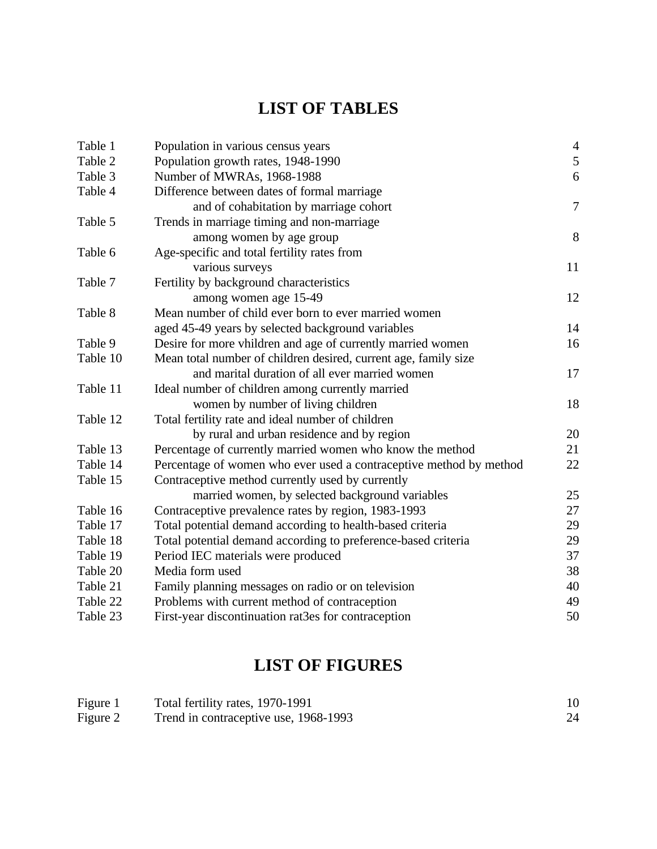# **LIST OF TABLES**

| Table 1  | Population in various census years                                 | $\overline{4}$ |
|----------|--------------------------------------------------------------------|----------------|
| Table 2  | Population growth rates, 1948-1990                                 | $\sqrt{5}$     |
| Table 3  | Number of MWRAs, 1968-1988                                         | 6              |
| Table 4  | Difference between dates of formal marriage                        |                |
|          | and of cohabitation by marriage cohort                             | $\overline{7}$ |
| Table 5  | Trends in marriage timing and non-marriage                         |                |
|          | among women by age group                                           | 8              |
| Table 6  | Age-specific and total fertility rates from                        |                |
|          | various surveys                                                    | 11             |
| Table 7  | Fertility by background characteristics                            |                |
|          | among women age 15-49                                              | 12             |
| Table 8  | Mean number of child ever born to ever married women               |                |
|          | aged 45-49 years by selected background variables                  | 14             |
| Table 9  | Desire for more vhildren and age of currently married women        | 16             |
| Table 10 | Mean total number of children desired, current age, family size    |                |
|          | and marital duration of all ever married women                     | 17             |
| Table 11 | Ideal number of children among currently married                   |                |
|          | women by number of living children                                 | 18             |
| Table 12 | Total fertility rate and ideal number of children                  |                |
|          | by rural and urban residence and by region                         | 20             |
| Table 13 | Percentage of currently married women who know the method          | 21             |
| Table 14 | Percentage of women who ever used a contraceptive method by method | 22             |
| Table 15 | Contraceptive method currently used by currently                   |                |
|          | married women, by selected background variables                    | 25             |
| Table 16 | Contraceptive prevalence rates by region, 1983-1993                | 27             |
| Table 17 | Total potential demand according to health-based criteria          | 29             |
| Table 18 | Total potential demand according to preference-based criteria      | 29             |
| Table 19 | Period IEC materials were produced                                 | 37             |
| Table 20 | Media form used                                                    | 38             |
| Table 21 | Family planning messages on radio or on television                 | 40             |
| Table 22 | Problems with current method of contraception                      | 49             |
| Table 23 | First-year discontinuation rat3es for contraception                | 50             |

# **LIST OF FIGURES**

| Figure 1 | Total fertility rates, 1970-1991      |  |
|----------|---------------------------------------|--|
| Figure 2 | Trend in contraceptive use, 1968-1993 |  |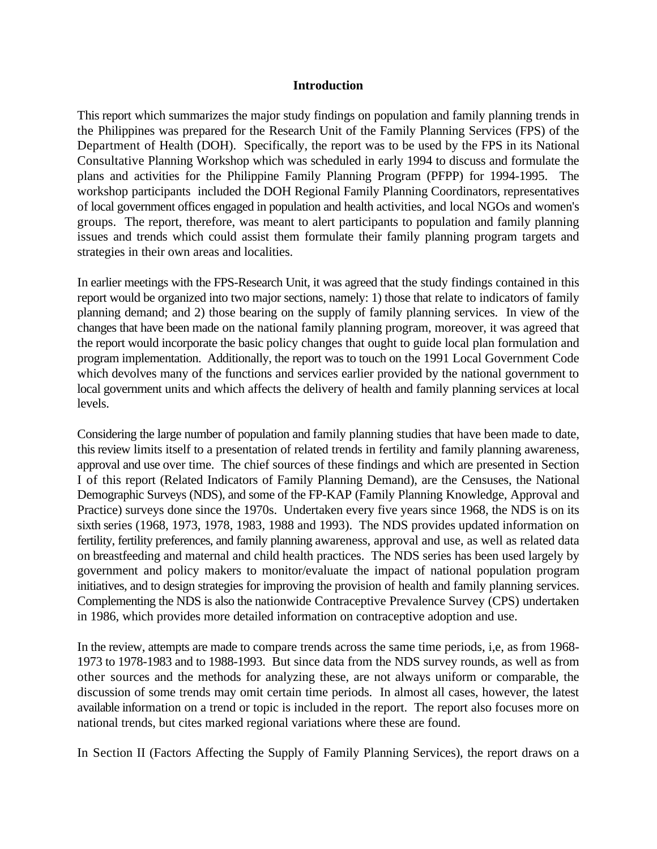#### **Introduction**

This report which summarizes the major study findings on population and family planning trends in the Philippines was prepared for the Research Unit of the Family Planning Services (FPS) of the Department of Health (DOH). Specifically, the report was to be used by the FPS in its National Consultative Planning Workshop which was scheduled in early 1994 to discuss and formulate the plans and activities for the Philippine Family Planning Program (PFPP) for 1994-1995. The workshop participants included the DOH Regional Family Planning Coordinators, representatives of local government offices engaged in population and health activities, and local NGOs and women's groups. The report, therefore, was meant to alert participants to population and family planning issues and trends which could assist them formulate their family planning program targets and strategies in their own areas and localities.

In earlier meetings with the FPS-Research Unit, it was agreed that the study findings contained in this report would be organized into two major sections, namely: 1) those that relate to indicators of family planning demand; and 2) those bearing on the supply of family planning services. In view of the changes that have been made on the national family planning program, moreover, it was agreed that the report would incorporate the basic policy changes that ought to guide local plan formulation and program implementation. Additionally, the report was to touch on the 1991 Local Government Code which devolves many of the functions and services earlier provided by the national government to local government units and which affects the delivery of health and family planning services at local levels.

Considering the large number of population and family planning studies that have been made to date, this review limits itself to a presentation of related trends in fertility and family planning awareness, approval and use over time. The chief sources of these findings and which are presented in Section I of this report (Related Indicators of Family Planning Demand), are the Censuses, the National Demographic Surveys (NDS), and some of the FP-KAP (Family Planning Knowledge, Approval and Practice) surveys done since the 1970s. Undertaken every five years since 1968, the NDS is on its sixth series (1968, 1973, 1978, 1983, 1988 and 1993). The NDS provides updated information on fertility, fertility preferences, and family planning awareness, approval and use, as well as related data on breastfeeding and maternal and child health practices. The NDS series has been used largely by government and policy makers to monitor/evaluate the impact of national population program initiatives, and to design strategies for improving the provision of health and family planning services. Complementing the NDS is also the nationwide Contraceptive Prevalence Survey (CPS) undertaken in 1986, which provides more detailed information on contraceptive adoption and use.

In the review, attempts are made to compare trends across the same time periods, i,e, as from 1968- 1973 to 1978-1983 and to 1988-1993. But since data from the NDS survey rounds, as well as from other sources and the methods for analyzing these, are not always uniform or comparable, the discussion of some trends may omit certain time periods. In almost all cases, however, the latest available information on a trend or topic is included in the report. The report also focuses more on national trends, but cites marked regional variations where these are found.

In Section II (Factors Affecting the Supply of Family Planning Services), the report draws on a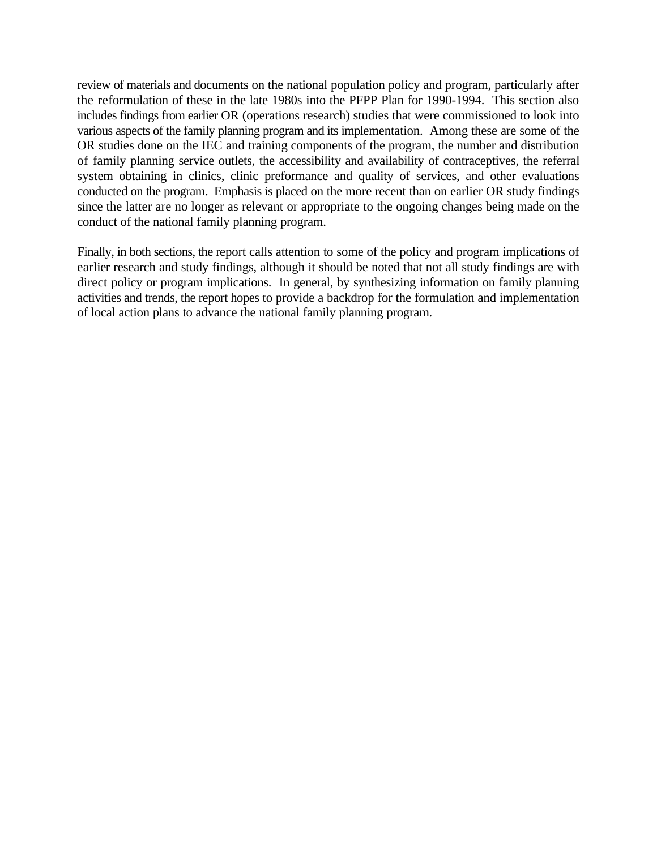review of materials and documents on the national population policy and program, particularly after the reformulation of these in the late 1980s into the PFPP Plan for 1990-1994. This section also includes findings from earlier OR (operations research) studies that were commissioned to look into various aspects of the family planning program and its implementation. Among these are some of the OR studies done on the IEC and training components of the program, the number and distribution of family planning service outlets, the accessibility and availability of contraceptives, the referral system obtaining in clinics, clinic preformance and quality of services, and other evaluations conducted on the program. Emphasis is placed on the more recent than on earlier OR study findings since the latter are no longer as relevant or appropriate to the ongoing changes being made on the conduct of the national family planning program.

Finally, in both sections, the report calls attention to some of the policy and program implications of earlier research and study findings, although it should be noted that not all study findings are with direct policy or program implications. In general, by synthesizing information on family planning activities and trends, the report hopes to provide a backdrop for the formulation and implementation of local action plans to advance the national family planning program.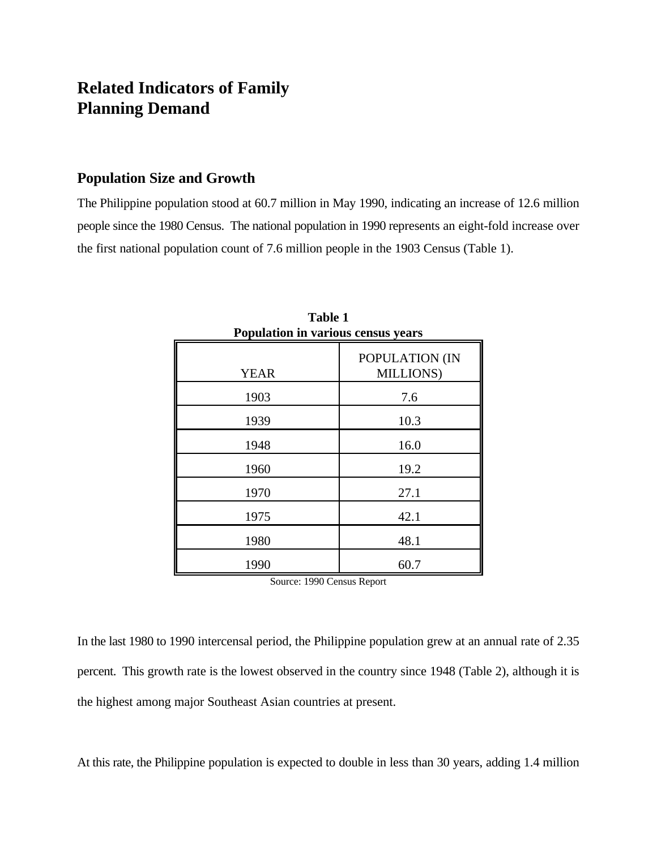# **Related Indicators of Family Planning Demand**

# **Population Size and Growth**

The Philippine population stood at 60.7 million in May 1990, indicating an increase of 12.6 million people since the 1980 Census. The national population in 1990 represents an eight-fold increase over the first national population count of 7.6 million people in the 1903 Census (Table 1).

| Population in various census years |                             |  |  |  |  |
|------------------------------------|-----------------------------|--|--|--|--|
| <b>YEAR</b>                        | POPULATION (IN<br>MILLIONS) |  |  |  |  |
| 1903                               | 7.6                         |  |  |  |  |
| 1939                               | 10.3                        |  |  |  |  |
| 1948                               | 16.0                        |  |  |  |  |
| 1960                               | 19.2                        |  |  |  |  |
| 1970                               | 27.1                        |  |  |  |  |
| 1975                               | 42.1                        |  |  |  |  |
| 1980                               | 48.1                        |  |  |  |  |
| 1990                               | 60.7                        |  |  |  |  |

**Table 1 Population in various census years**

Source: 1990 Census Report

At this rate, the Philippine population is expected to double in less than 30 years, adding 1.4 million

In the last 1980 to 1990 intercensal period, the Philippine population grew at an annual rate of 2.35 percent. This growth rate is the lowest observed in the country since 1948 (Table 2), although it is the highest among major Southeast Asian countries at present.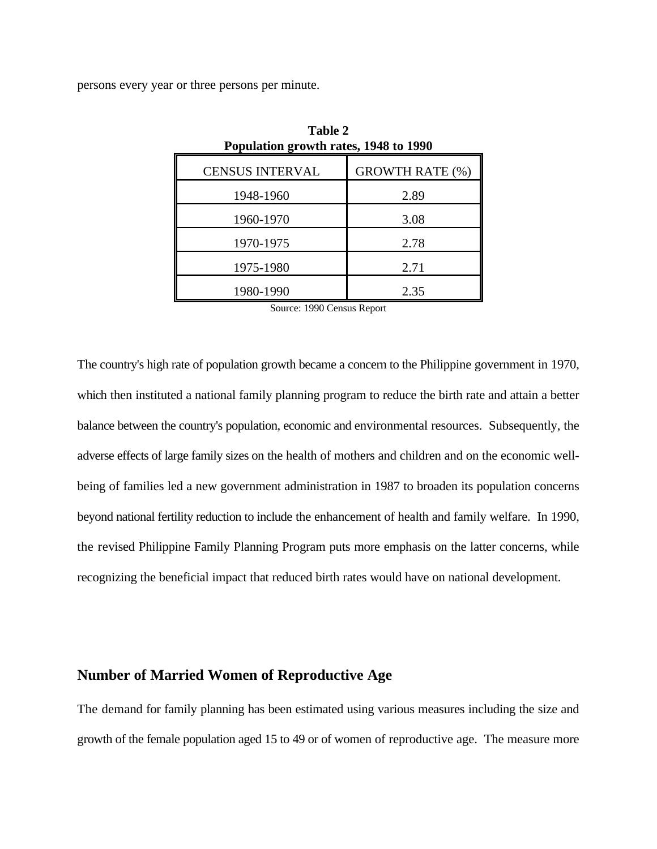persons every year or three persons per minute.

| Population growth rates, 1948 to 1990 |                        |  |  |  |  |
|---------------------------------------|------------------------|--|--|--|--|
| <b>CENSUS INTERVAL</b>                | <b>GROWTH RATE (%)</b> |  |  |  |  |
| 1948-1960                             | 2.89                   |  |  |  |  |
| 1960-1970                             | 3.08                   |  |  |  |  |
| 1970-1975                             | 2.78                   |  |  |  |  |
| 1975-1980                             | 2.71                   |  |  |  |  |
| 1980-1990                             | 2.35                   |  |  |  |  |

**Table 2**

Source: 1990 Census Report

The country's high rate of population growth became a concern to the Philippine government in 1970, which then instituted a national family planning program to reduce the birth rate and attain a better balance between the country's population, economic and environmental resources. Subsequently, the adverse effects of large family sizes on the health of mothers and children and on the economic wellbeing of families led a new government administration in 1987 to broaden its population concerns beyond national fertility reduction to include the enhancement of health and family welfare. In 1990, the revised Philippine Family Planning Program puts more emphasis on the latter concerns, while recognizing the beneficial impact that reduced birth rates would have on national development.

### **Number of Married Women of Reproductive Age**

The demand for family planning has been estimated using various measures including the size and growth of the female population aged 15 to 49 or of women of reproductive age. The measure more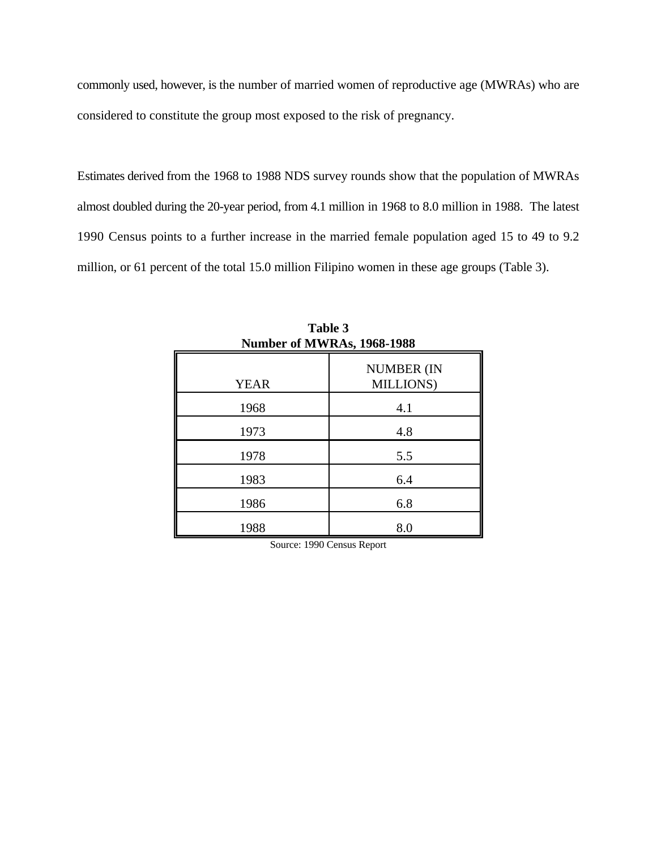commonly used, however, is the number of married women of reproductive age (MWRAs) who are considered to constitute the group most exposed to the risk of pregnancy.

Estimates derived from the 1968 to 1988 NDS survey rounds show that the population of MWRAs almost doubled during the 20-year period, from 4.1 million in 1968 to 8.0 million in 1988. The latest 1990 Census points to a further increase in the married female population aged 15 to 49 to 9.2 million, or 61 percent of the total 15.0 million Filipino women in these age groups (Table 3).

| TUILIDEL OF IVE WINAS, 1700-1700 |                                |  |  |  |
|----------------------------------|--------------------------------|--|--|--|
| <b>YEAR</b>                      | <b>NUMBER (IN</b><br>MILLIONS) |  |  |  |
| 1968                             | 4.1                            |  |  |  |
| 1973                             | 4.8                            |  |  |  |
| 1978                             | 5.5                            |  |  |  |
| 1983                             | 6.4                            |  |  |  |
| 1986                             | 6.8                            |  |  |  |
| 1988                             | 8.0                            |  |  |  |

**Table 3 Number of MWRAs, 1968-1988**

Source: 1990 Census Report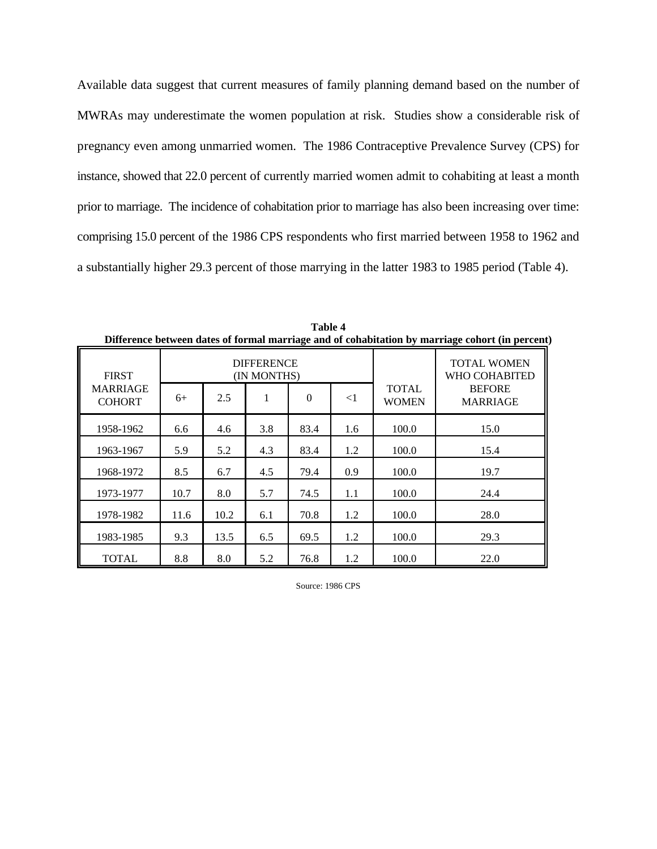Available data suggest that current measures of family planning demand based on the number of MWRAs may underestimate the women population at risk. Studies show a considerable risk of pregnancy even among unmarried women. The 1986 Contraceptive Prevalence Survey (CPS) for instance, showed that 22.0 percent of currently married women admit to cohabiting at least a month prior to marriage. The incidence of cohabitation prior to marriage has also been increasing over time: comprising 15.0 percent of the 1986 CPS respondents who first married between 1958 to 1962 and a substantially higher 29.3 percent of those marrying in the latter 1983 to 1985 period (Table 4).

| Directive between dates of formal matrix, and of conditionation by matrix, contri (in percent |                                                                              |      |     |      |                              |                                                                         |      |  |
|-----------------------------------------------------------------------------------------------|------------------------------------------------------------------------------|------|-----|------|------------------------------|-------------------------------------------------------------------------|------|--|
| <b>FIRST</b><br><b>MARRIAGE</b><br><b>COHORT</b>                                              | <b>DIFFERENCE</b><br>(IN MONTHS)<br>2.5<br>1<br>$\Omega$<br>$\leq$ 1<br>$6+$ |      |     |      | <b>TOTAL</b><br><b>WOMEN</b> | <b>TOTAL WOMEN</b><br>WHO COHABITED<br><b>BEFORE</b><br><b>MARRIAGE</b> |      |  |
| 1958-1962                                                                                     | 6.6                                                                          | 4.6  | 3.8 | 83.4 | 1.6                          | 100.0                                                                   | 15.0 |  |
| 1963-1967                                                                                     | 5.9                                                                          | 5.2  | 4.3 | 83.4 | 1.2                          | 100.0                                                                   | 15.4 |  |
| 1968-1972                                                                                     | 8.5                                                                          | 6.7  | 4.5 | 79.4 | 0.9                          | 100.0                                                                   | 19.7 |  |
| 1973-1977                                                                                     | 10.7                                                                         | 8.0  | 5.7 | 74.5 | 1.1                          | 100.0                                                                   | 24.4 |  |
| 1978-1982                                                                                     | 11.6                                                                         | 10.2 | 6.1 | 70.8 | 1.2                          | 100.0                                                                   | 28.0 |  |
| 1983-1985                                                                                     | 9.3                                                                          | 13.5 | 6.5 | 69.5 | 1.2                          | 100.0                                                                   | 29.3 |  |
| <b>TOTAL</b>                                                                                  | 8.8                                                                          | 8.0  | 5.2 | 76.8 | 1.2                          | 100.0                                                                   | 22.0 |  |

**Table 4 Difference between dates of formal marriage and of cohabitation by marriage cohort (in percent)**

Source: 1986 CPS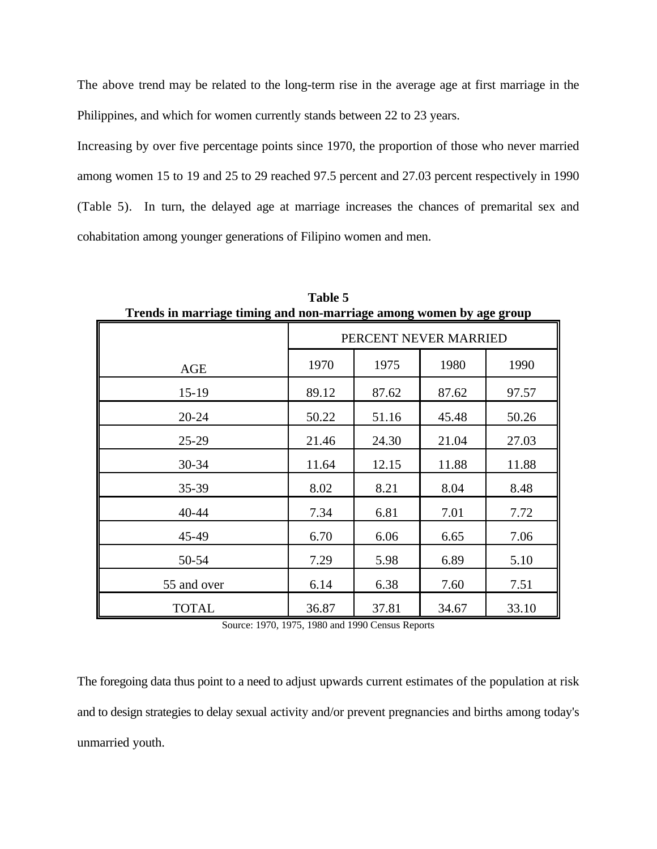The above trend may be related to the long-term rise in the average age at first marriage in the Philippines, and which for women currently stands between 22 to 23 years.

Increasing by over five percentage points since 1970, the proportion of those who never married among women 15 to 19 and 25 to 29 reached 97.5 percent and 27.03 percent respectively in 1990 (Table 5). In turn, the delayed age at marriage increases the chances of premarital sex and cohabitation among younger generations of Filipino women and men.

|              | Trends in marriage timing and non-marriage among women by age group |       |       |       |  |  |  |  |
|--------------|---------------------------------------------------------------------|-------|-------|-------|--|--|--|--|
|              | PERCENT NEVER MARRIED                                               |       |       |       |  |  |  |  |
| <b>AGE</b>   | 1990<br>1970<br>1975<br>1980                                        |       |       |       |  |  |  |  |
| $15-19$      | 89.12                                                               | 87.62 | 87.62 | 97.57 |  |  |  |  |
| $20 - 24$    | 50.22                                                               | 51.16 | 45.48 | 50.26 |  |  |  |  |
| $25-29$      | 21.46                                                               | 24.30 | 21.04 | 27.03 |  |  |  |  |
| 30-34        | 11.64                                                               | 12.15 | 11.88 | 11.88 |  |  |  |  |
| 35-39        | 8.02                                                                | 8.21  | 8.04  | 8.48  |  |  |  |  |
| $40 - 44$    | 7.34                                                                | 6.81  | 7.01  | 7.72  |  |  |  |  |
| 45-49        | 6.70                                                                | 6.06  | 6.65  | 7.06  |  |  |  |  |
| 50-54        | 7.29                                                                | 5.98  | 6.89  | 5.10  |  |  |  |  |
| 55 and over  | 6.14                                                                | 6.38  | 7.60  | 7.51  |  |  |  |  |
| <b>TOTAL</b> | 36.87                                                               | 37.81 | 34.67 | 33.10 |  |  |  |  |

**Table 5 Trends in marriage timing and non-marriage among women by age group**

Source: 1970, 1975, 1980 and 1990 Census Reports

The foregoing data thus point to a need to adjust upwards current estimates of the population at risk and to design strategies to delay sexual activity and/or prevent pregnancies and births among today's unmarried youth.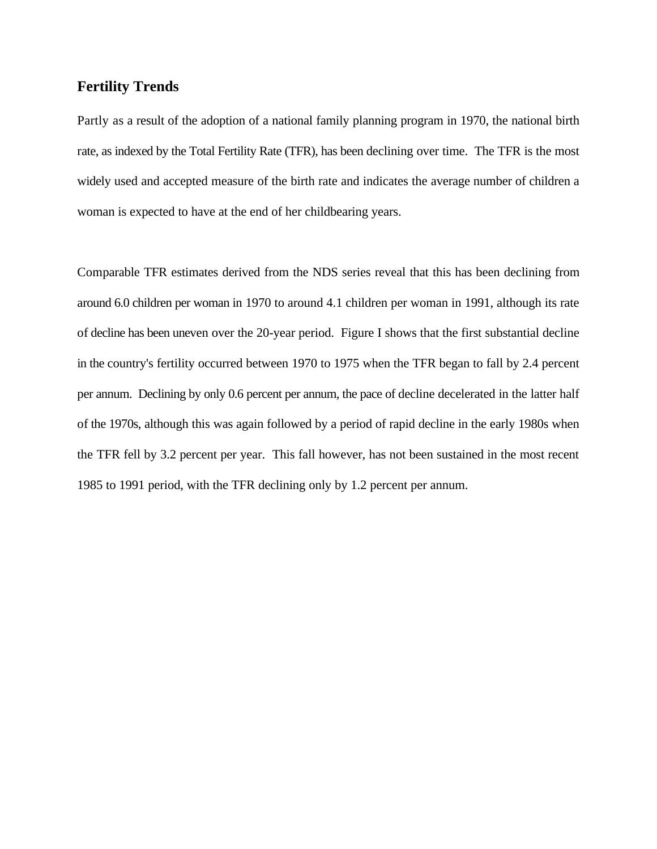#### **Fertility Trends**

Partly as a result of the adoption of a national family planning program in 1970, the national birth rate, as indexed by the Total Fertility Rate (TFR), has been declining over time. The TFR is the most widely used and accepted measure of the birth rate and indicates the average number of children a woman is expected to have at the end of her childbearing years.

Comparable TFR estimates derived from the NDS series reveal that this has been declining from around 6.0 children per woman in 1970 to around 4.1 children per woman in 1991, although its rate of decline has been uneven over the 20-year period. Figure I shows that the first substantial decline in the country's fertility occurred between 1970 to 1975 when the TFR began to fall by 2.4 percent per annum. Declining by only 0.6 percent per annum, the pace of decline decelerated in the latter half of the 1970s, although this was again followed by a period of rapid decline in the early 1980s when the TFR fell by 3.2 percent per year. This fall however, has not been sustained in the most recent 1985 to 1991 period, with the TFR declining only by 1.2 percent per annum.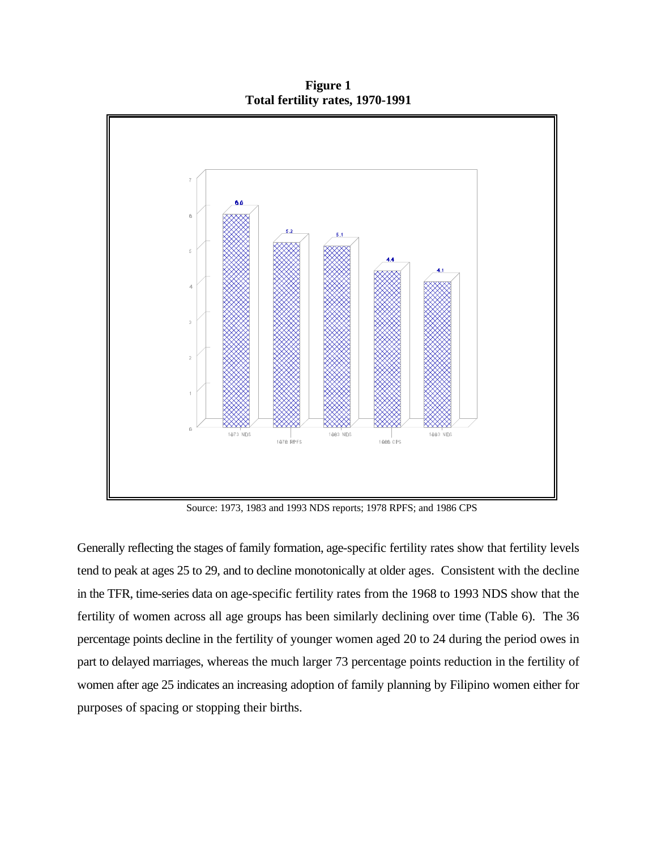**Figure 1 Total fertility rates, 1970-1991**



Source: 1973, 1983 and 1993 NDS reports; 1978 RPFS; and 1986 CPS

Generally reflecting the stages of family formation, age-specific fertility rates show that fertility levels tend to peak at ages 25 to 29, and to decline monotonically at older ages. Consistent with the decline in the TFR, time-series data on age-specific fertility rates from the 1968 to 1993 NDS show that the fertility of women across all age groups has been similarly declining over time (Table 6). The 36 percentage points decline in the fertility of younger women aged 20 to 24 during the period owes in part to delayed marriages, whereas the much larger 73 percentage points reduction in the fertility of women after age 25 indicates an increasing adoption of family planning by Filipino women either for purposes of spacing or stopping their births.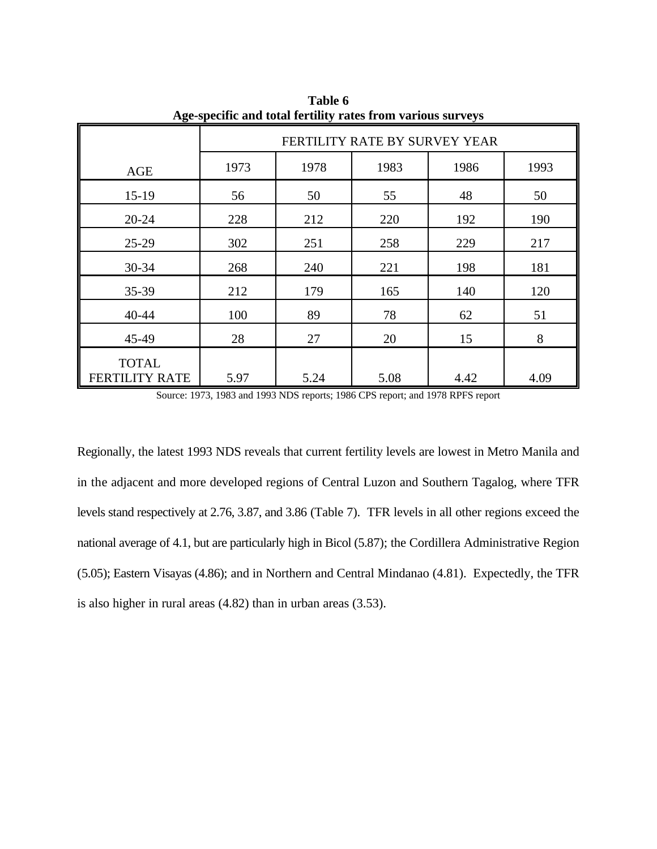| Age-specific and total fertility rates from various surveys |                                      |      |      |      |      |  |  |  |  |
|-------------------------------------------------------------|--------------------------------------|------|------|------|------|--|--|--|--|
|                                                             | FERTILITY RATE BY SURVEY YEAR        |      |      |      |      |  |  |  |  |
| AGE                                                         | 1983<br>1978<br>1986<br>1973<br>1993 |      |      |      |      |  |  |  |  |
| $15-19$                                                     | 56                                   | 50   | 55   | 48   | 50   |  |  |  |  |
| 20-24                                                       | 228                                  | 212  | 220  | 192  | 190  |  |  |  |  |
| $25-29$                                                     | 302                                  | 251  | 258  | 229  | 217  |  |  |  |  |
| 30-34                                                       | 268                                  | 240  | 221  | 198  | 181  |  |  |  |  |
| 35-39                                                       | 212                                  | 179  | 165  | 140  | 120  |  |  |  |  |
| 40-44                                                       | 100                                  | 89   | 78   | 62   | 51   |  |  |  |  |
| 45-49                                                       | 28                                   | 27   | 20   | 15   | 8    |  |  |  |  |
| <b>TOTAL</b><br><b>FERTILITY RATE</b>                       | 5.97                                 | 5.24 | 5.08 | 4.42 | 4.09 |  |  |  |  |

**Table 6 Age-specific and total fertility rates from various surveys**

Source: 1973, 1983 and 1993 NDS reports; 1986 CPS report; and 1978 RPFS report

Regionally, the latest 1993 NDS reveals that current fertility levels are lowest in Metro Manila and in the adjacent and more developed regions of Central Luzon and Southern Tagalog, where TFR levels stand respectively at 2.76, 3.87, and 3.86 (Table 7). TFR levels in all other regions exceed the national average of 4.1, but are particularly high in Bicol (5.87); the Cordillera Administrative Region (5.05); Eastern Visayas (4.86); and in Northern and Central Mindanao (4.81). Expectedly, the TFR is also higher in rural areas (4.82) than in urban areas (3.53).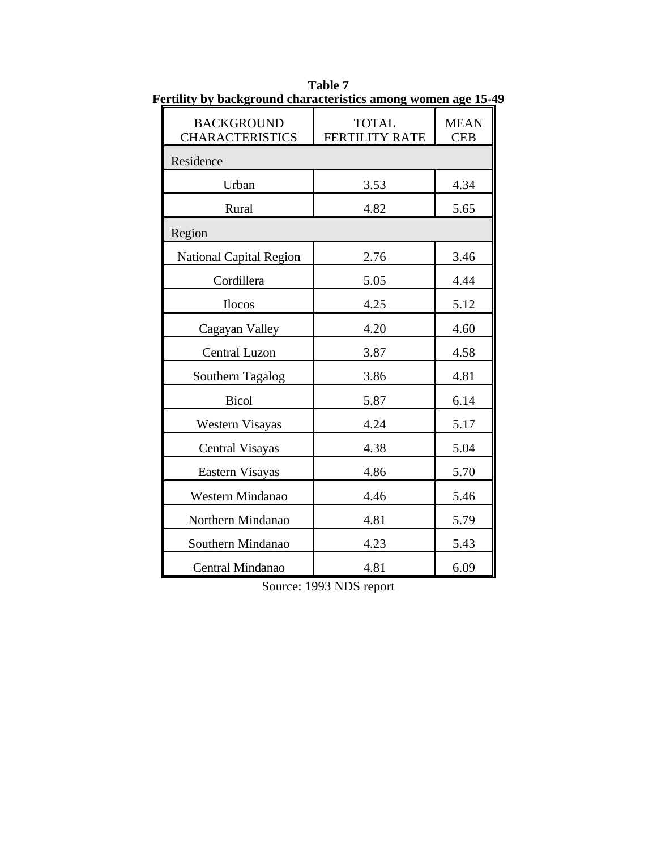| <u>El timty by background characteristics among women age for</u> |                                       |                           |
|-------------------------------------------------------------------|---------------------------------------|---------------------------|
| <b>BACKGROUND</b><br><b>CHARACTERISTICS</b>                       | <b>TOTAL</b><br><b>FERTILITY RATE</b> | <b>MEAN</b><br><b>CEB</b> |
| Residence                                                         |                                       |                           |
| Urban                                                             | 3.53                                  | 4.34                      |
| Rural                                                             | 4.82                                  | 5.65                      |
| Region                                                            |                                       |                           |
| <b>National Capital Region</b>                                    | 2.76                                  | 3.46                      |
| Cordillera                                                        | 5.05                                  | 4.44                      |
| <b>Ilocos</b>                                                     | 4.25                                  | 5.12                      |
| Cagayan Valley                                                    | 4.20                                  | 4.60                      |
| <b>Central Luzon</b>                                              | 3.87                                  | 4.58                      |
| Southern Tagalog                                                  | 3.86                                  | 4.81                      |
| <b>Bicol</b>                                                      | 5.87                                  | 6.14                      |
| Western Visayas                                                   | 4.24                                  | 5.17                      |
| Central Visayas                                                   | 4.38                                  | 5.04                      |
| Eastern Visayas                                                   | 4.86                                  | 5.70                      |
| Western Mindanao                                                  | 4.46                                  | 5.46                      |
| Northern Mindanao                                                 | 4.81                                  | 5.79                      |
| Southern Mindanao                                                 | 4.23                                  | 5.43                      |
| Central Mindanao                                                  | 4.81                                  | 6.09                      |

**Table 7 Fertility by background characteristics among women age 15-49**

Source: 1993 NDS report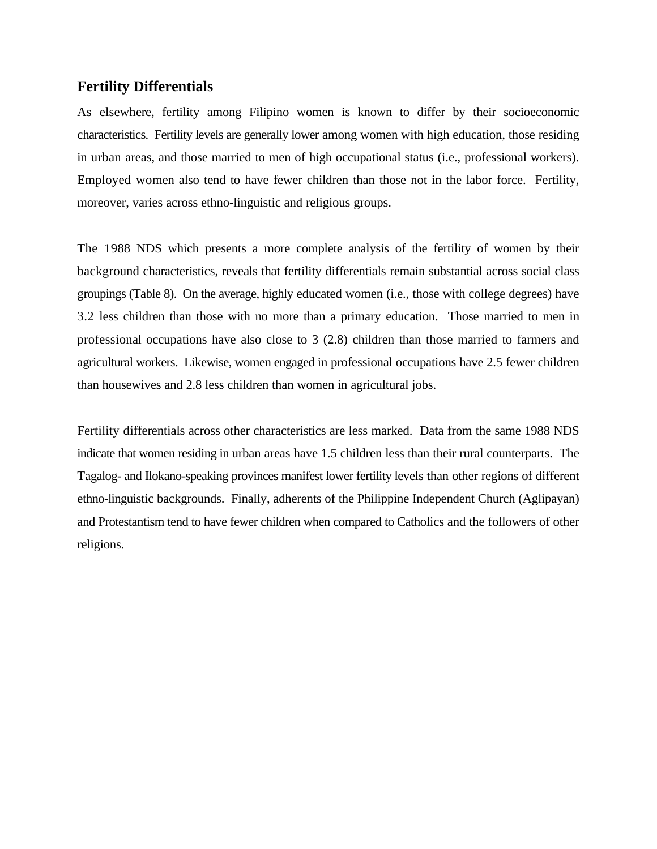#### **Fertility Differentials**

As elsewhere, fertility among Filipino women is known to differ by their socioeconomic characteristics. Fertility levels are generally lower among women with high education, those residing in urban areas, and those married to men of high occupational status (i.e., professional workers). Employed women also tend to have fewer children than those not in the labor force. Fertility, moreover, varies across ethno-linguistic and religious groups.

The 1988 NDS which presents a more complete analysis of the fertility of women by their background characteristics, reveals that fertility differentials remain substantial across social class groupings (Table 8). On the average, highly educated women (i.e., those with college degrees) have 3.2 less children than those with no more than a primary education. Those married to men in professional occupations have also close to 3 (2.8) children than those married to farmers and agricultural workers. Likewise, women engaged in professional occupations have 2.5 fewer children than housewives and 2.8 less children than women in agricultural jobs.

Fertility differentials across other characteristics are less marked. Data from the same 1988 NDS indicate that women residing in urban areas have 1.5 children less than their rural counterparts. The Tagalog- and Ilokano-speaking provinces manifest lower fertility levels than other regions of different ethno-linguistic backgrounds. Finally, adherents of the Philippine Independent Church (Aglipayan) and Protestantism tend to have fewer children when compared to Catholics and the followers of other religions.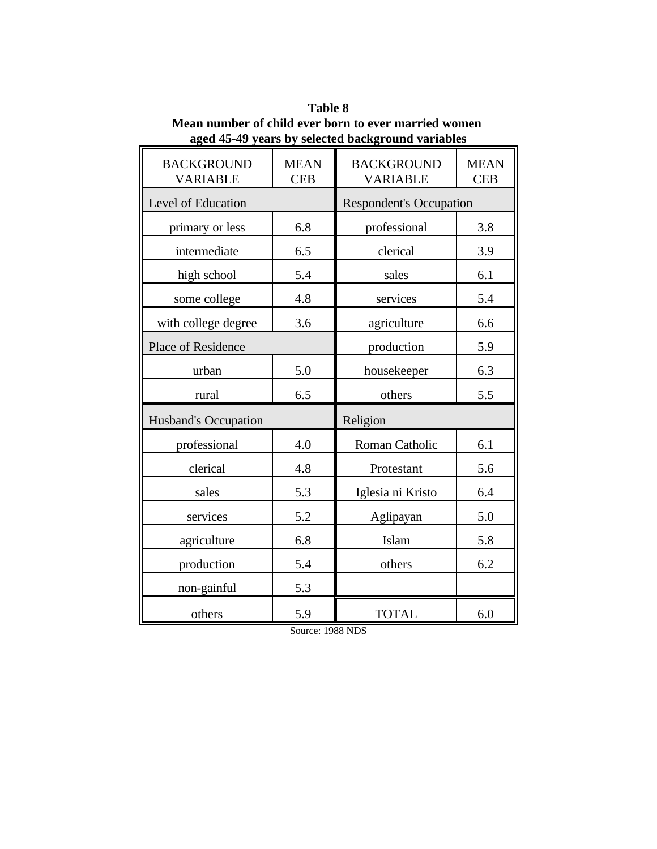| <b>BACKGROUND</b><br><b>VARIABLE</b> | <b>MEAN</b><br><b>CEB</b> | <b>BACKGROUND</b><br><b>VARIABLE</b> | <b>MEAN</b><br><b>CEB</b> |  |
|--------------------------------------|---------------------------|--------------------------------------|---------------------------|--|
| Level of Education                   |                           | <b>Respondent's Occupation</b>       |                           |  |
| primary or less                      | 6.8                       | professional                         | 3.8                       |  |
| intermediate                         | 6.5                       | clerical                             | 3.9                       |  |
| high school                          | 5.4                       | sales                                | 6.1                       |  |
| some college                         | 4.8                       | services                             | 5.4                       |  |
| with college degree                  | 3.6                       | agriculture                          | 6.6                       |  |
| Place of Residence                   |                           | production                           | 5.9                       |  |
| urban                                | 5.0                       | housekeeper                          | 6.3                       |  |
| rural                                | 6.5                       | others                               | 5.5                       |  |
| Husband's Occupation                 |                           | Religion                             |                           |  |
| professional                         | 4.0                       | Roman Catholic                       | 6.1                       |  |
| clerical                             | 4.8                       | Protestant                           | 5.6                       |  |
| sales                                | 5.3                       | Iglesia ni Kristo                    | 6.4                       |  |
| services                             | 5.2                       | Aglipayan                            | 5.0                       |  |
| agriculture                          | 6.8                       | Islam                                | 5.8                       |  |
| production                           | 5.4                       | others                               | 6.2                       |  |
| non-gainful                          | 5.3                       |                                      |                           |  |
| others                               | 5.9                       | <b>TOTAL</b>                         | 6.0                       |  |

**Table 8 Mean number of child ever born to ever married women aged 45-49 years by selected background variables**

 $\mathcal{L}(\mathcal{L})$ 

Source: 1988 NDS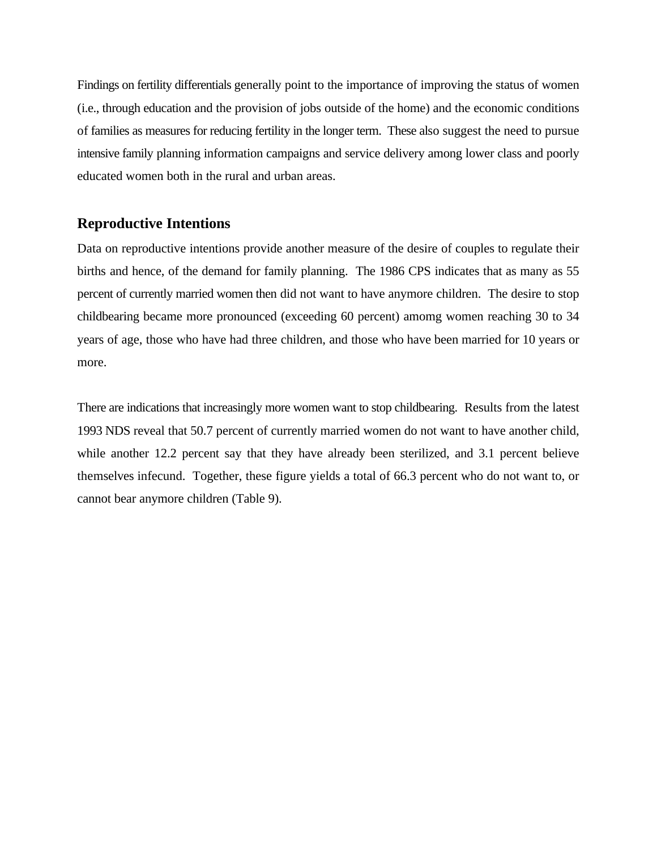Findings on fertility differentials generally point to the importance of improving the status of women (i.e., through education and the provision of jobs outside of the home) and the economic conditions of families as measures for reducing fertility in the longer term. These also suggest the need to pursue intensive family planning information campaigns and service delivery among lower class and poorly educated women both in the rural and urban areas.

#### **Reproductive Intentions**

Data on reproductive intentions provide another measure of the desire of couples to regulate their births and hence, of the demand for family planning. The 1986 CPS indicates that as many as 55 percent of currently married women then did not want to have anymore children. The desire to stop childbearing became more pronounced (exceeding 60 percent) amomg women reaching 30 to 34 years of age, those who have had three children, and those who have been married for 10 years or more.

There are indications that increasingly more women want to stop childbearing. Results from the latest 1993 NDS reveal that 50.7 percent of currently married women do not want to have another child, while another 12.2 percent say that they have already been sterilized, and 3.1 percent believe themselves infecund. Together, these figure yields a total of 66.3 percent who do not want to, or cannot bear anymore children (Table 9).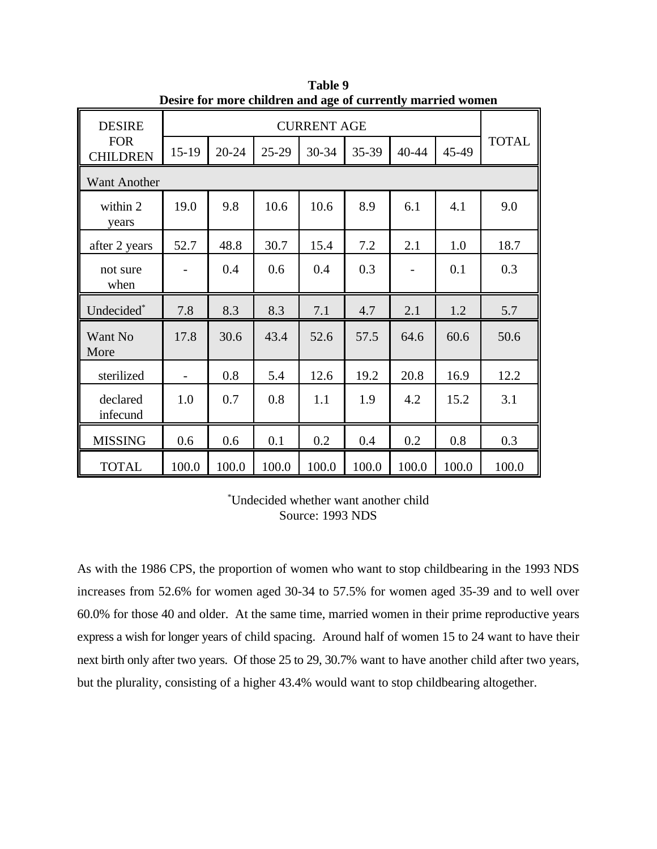| Desn't for more emitten and age of earlying married women |                    |           |         |       |       |                          |       |              |
|-----------------------------------------------------------|--------------------|-----------|---------|-------|-------|--------------------------|-------|--------------|
| <b>DESIRE</b>                                             | <b>CURRENT AGE</b> |           |         |       |       |                          |       |              |
| <b>FOR</b><br><b>CHILDREN</b>                             | $15-19$            | $20 - 24$ | $25-29$ | 30-34 | 35-39 | 40-44                    | 45-49 | <b>TOTAL</b> |
| <b>Want Another</b>                                       |                    |           |         |       |       |                          |       |              |
| within 2<br>years                                         | 19.0               | 9.8       | 10.6    | 10.6  | 8.9   | 6.1                      | 4.1   | 9.0          |
| after 2 years                                             | 52.7               | 48.8      | 30.7    | 15.4  | 7.2   | 2.1                      | 1.0   | 18.7         |
| not sure<br>when                                          |                    | 0.4       | 0.6     | 0.4   | 0.3   | $\overline{\phantom{a}}$ | 0.1   | 0.3          |
| Undecided*                                                | 7.8                | 8.3       | 8.3     | 7.1   | 4.7   | 2.1                      | 1.2   | 5.7          |
| Want No<br>More                                           | 17.8               | 30.6      | 43.4    | 52.6  | 57.5  | 64.6                     | 60.6  | 50.6         |
| sterilized                                                |                    | 0.8       | 5.4     | 12.6  | 19.2  | 20.8                     | 16.9  | 12.2         |
| declared<br>infecund                                      | 1.0                | 0.7       | 0.8     | 1.1   | 1.9   | 4.2                      | 15.2  | 3.1          |
| <b>MISSING</b>                                            | 0.6                | 0.6       | 0.1     | 0.2   | 0.4   | 0.2                      | 0.8   | 0.3          |
| <b>TOTAL</b>                                              | 100.0              | 100.0     | 100.0   | 100.0 | 100.0 | 100.0                    | 100.0 | 100.0        |

**Table 9 Desire for more children and age of currently married women**

Undecided whether want another child \* Source: 1993 NDS

As with the 1986 CPS, the proportion of women who want to stop childbearing in the 1993 NDS increases from 52.6% for women aged 30-34 to 57.5% for women aged 35-39 and to well over 60.0% for those 40 and older. At the same time, married women in their prime reproductive years express a wish for longer years of child spacing. Around half of women 15 to 24 want to have their next birth only after two years. Of those 25 to 29, 30.7% want to have another child after two years, but the plurality, consisting of a higher 43.4% would want to stop childbearing altogether.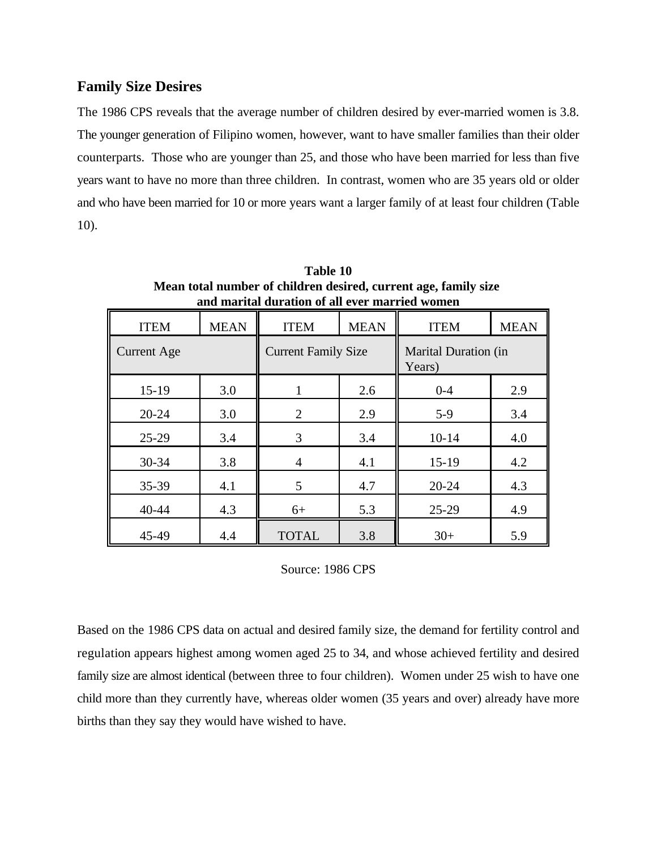# **Family Size Desires**

The 1986 CPS reveals that the average number of children desired by ever-married women is 3.8. The younger generation of Filipino women, however, want to have smaller families than their older counterparts. Those who are younger than 25, and those who have been married for less than five years want to have no more than three children. In contrast, women who are 35 years old or older and who have been married for 10 or more years want a larger family of at least four children (Table 10).

| anu maritai uurativii vi ali ever married women |             |                            |             |                                       |             |  |  |  |
|-------------------------------------------------|-------------|----------------------------|-------------|---------------------------------------|-------------|--|--|--|
| <b>ITEM</b>                                     | <b>MEAN</b> | <b>ITEM</b>                | <b>MEAN</b> | <b>ITEM</b>                           | <b>MEAN</b> |  |  |  |
| <b>Current Age</b>                              |             | <b>Current Family Size</b> |             | <b>Marital Duration (in</b><br>Years) |             |  |  |  |
| $15-19$                                         | 3.0         | 1                          | 2.6         | $0 - 4$                               | 2.9         |  |  |  |
| $20 - 24$                                       | 3.0         | $\overline{2}$             | 2.9         | $5-9$                                 | 3.4         |  |  |  |
| $25-29$                                         | 3.4         | 3                          | 3.4         | $10 - 14$                             | 4.0         |  |  |  |
| $30 - 34$                                       | 3.8         | $\overline{4}$             | 4.1         | $15-19$                               | 4.2         |  |  |  |
| 35-39                                           | 4.1         | 5                          | 4.7         | $20 - 24$                             | 4.3         |  |  |  |
| 40-44                                           | 4.3         | $6+$                       | 5.3         | $25-29$                               | 4.9         |  |  |  |
| 45-49                                           | 4.4         | <b>TOTAL</b>               | 3.8         | $30+$                                 | 5.9         |  |  |  |

**Table 10 Mean total number of children desired, current age, family size and marital duration of all ever married women**

Source: 1986 CPS

Based on the 1986 CPS data on actual and desired family size, the demand for fertility control and regulation appears highest among women aged 25 to 34, and whose achieved fertility and desired family size are almost identical (between three to four children). Women under 25 wish to have one child more than they currently have, whereas older women (35 years and over) already have more births than they say they would have wished to have.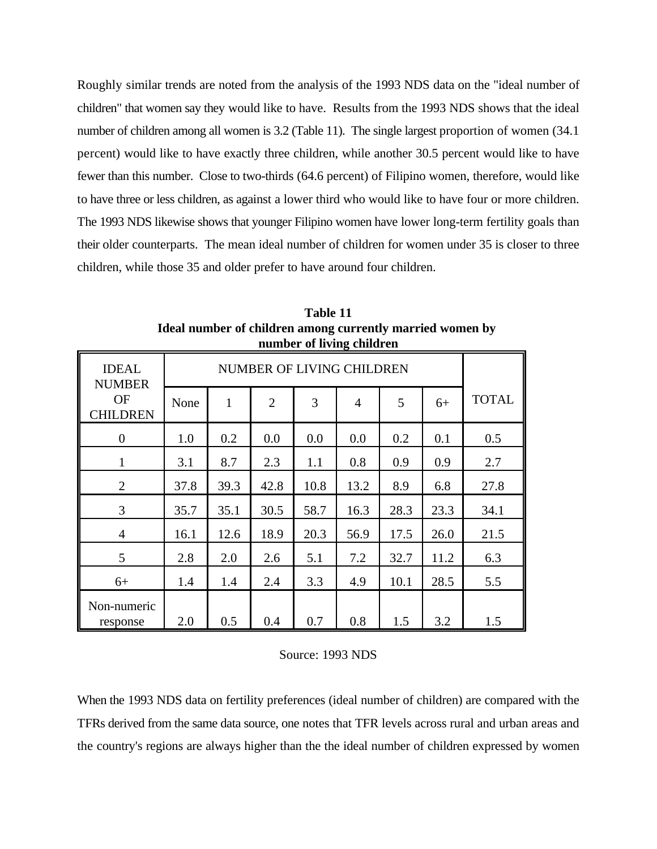Roughly similar trends are noted from the analysis of the 1993 NDS data on the "ideal number of children" that women say they would like to have. Results from the 1993 NDS shows that the ideal number of children among all women is 3.2 (Table 11). The single largest proportion of women (34.1) percent) would like to have exactly three children, while another 30.5 percent would like to have fewer than this number. Close to two-thirds (64.6 percent) of Filipino women, therefore, would like to have three or less children, as against a lower third who would like to have four or more children. The 1993 NDS likewise shows that younger Filipino women have lower long-term fertility goals than their older counterparts. The mean ideal number of children for women under 35 is closer to three children, while those 35 and older prefer to have around four children.

|                               |      |                           |                | number of nying children |                |      |      |              |
|-------------------------------|------|---------------------------|----------------|--------------------------|----------------|------|------|--------------|
| <b>IDEAL</b><br><b>NUMBER</b> |      | NUMBER OF LIVING CHILDREN |                |                          |                |      |      |              |
| <b>OF</b><br><b>CHILDREN</b>  | None | $\mathbf{1}$              | $\overline{2}$ | 3                        | $\overline{4}$ | 5    | $6+$ | <b>TOTAL</b> |
| $\theta$                      | 1.0  | 0.2                       | 0.0            | 0.0                      | 0.0            | 0.2  | 0.1  | 0.5          |
| $\mathbf{1}$                  | 3.1  | 8.7                       | 2.3            | 1.1                      | 0.8            | 0.9  | 0.9  | 2.7          |
| $\overline{2}$                | 37.8 | 39.3                      | 42.8           | 10.8                     | 13.2           | 8.9  | 6.8  | 27.8         |
| 3                             | 35.7 | 35.1                      | 30.5           | 58.7                     | 16.3           | 28.3 | 23.3 | 34.1         |
| $\overline{4}$                | 16.1 | 12.6                      | 18.9           | 20.3                     | 56.9           | 17.5 | 26.0 | 21.5         |
| 5                             | 2.8  | 2.0                       | 2.6            | 5.1                      | 7.2            | 32.7 | 11.2 | 6.3          |
| $6+$                          | 1.4  | 1.4                       | 2.4            | 3.3                      | 4.9            | 10.1 | 28.5 | 5.5          |
| Non-numeric<br>response       | 2.0  | 0.5                       | 0.4            | 0.7                      | 0.8            | 1.5  | 3.2  | 1.5          |

**Table 11 Ideal number of children among currently married women by number of living children**

#### Source: 1993 NDS

When the 1993 NDS data on fertility preferences (ideal number of children) are compared with the TFRs derived from the same data source, one notes that TFR levels across rural and urban areas and the country's regions are always higher than the the ideal number of children expressed by women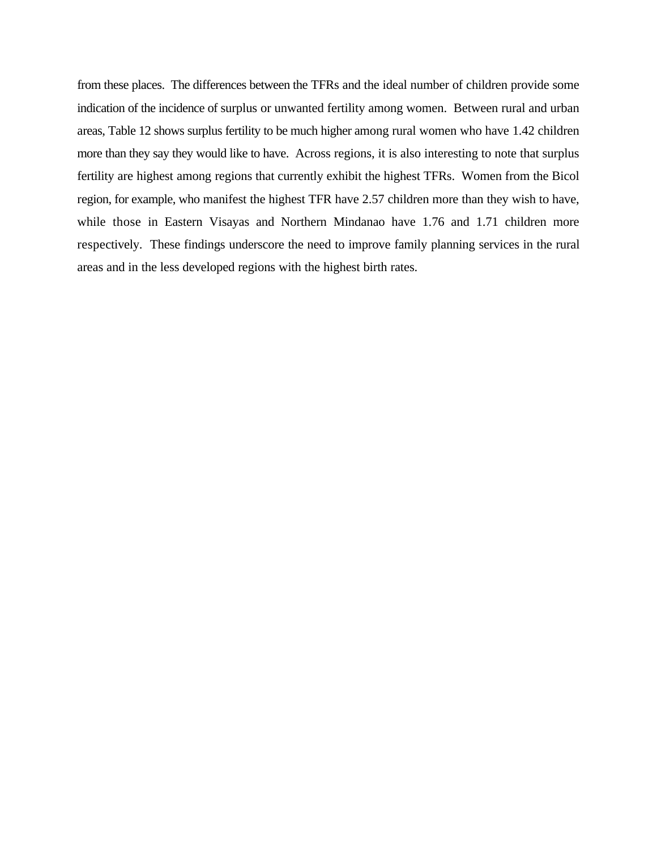from these places. The differences between the TFRs and the ideal number of children provide some indication of the incidence of surplus or unwanted fertility among women. Between rural and urban areas, Table 12 shows surplus fertility to be much higher among rural women who have 1.42 children more than they say they would like to have. Across regions, it is also interesting to note that surplus fertility are highest among regions that currently exhibit the highest TFRs. Women from the Bicol region, for example, who manifest the highest TFR have 2.57 children more than they wish to have, while those in Eastern Visayas and Northern Mindanao have 1.76 and 1.71 children more respectively. These findings underscore the need to improve family planning services in the rural areas and in the less developed regions with the highest birth rates.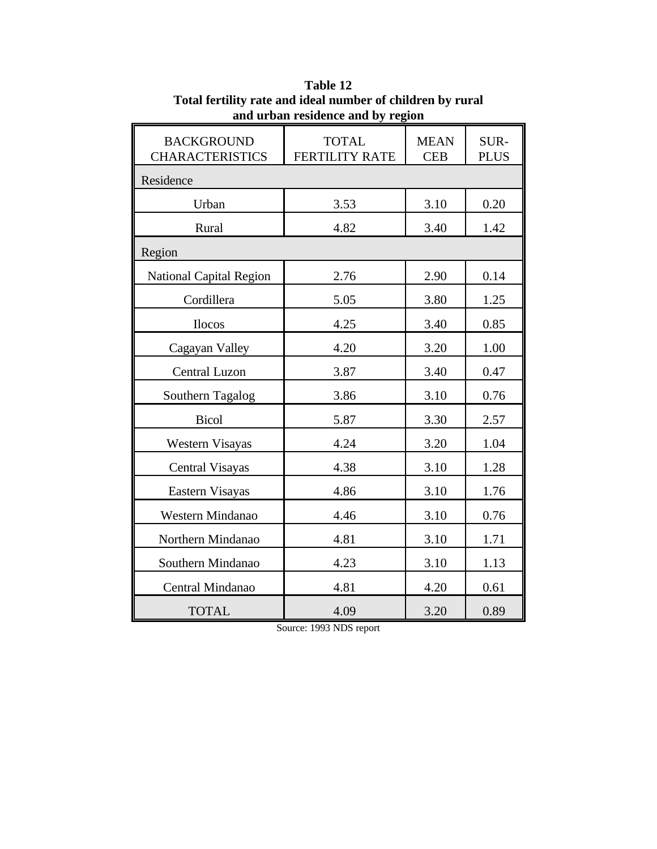| and urban residence and by region           |                                       |                           |                     |  |  |  |  |
|---------------------------------------------|---------------------------------------|---------------------------|---------------------|--|--|--|--|
| <b>BACKGROUND</b><br><b>CHARACTERISTICS</b> | <b>TOTAL</b><br><b>FERTILITY RATE</b> | <b>MEAN</b><br><b>CEB</b> | SUR-<br><b>PLUS</b> |  |  |  |  |
| Residence                                   |                                       |                           |                     |  |  |  |  |
| Urban                                       | 3.53                                  | 3.10                      | 0.20                |  |  |  |  |
| Rural                                       | 4.82                                  | 3.40                      | 1.42                |  |  |  |  |
| Region                                      |                                       |                           |                     |  |  |  |  |
| <b>National Capital Region</b>              | 2.76                                  | 2.90                      | 0.14                |  |  |  |  |
| Cordillera                                  | 5.05                                  | 3.80                      | 1.25                |  |  |  |  |
| <b>Ilocos</b>                               | 4.25                                  | 3.40                      | 0.85                |  |  |  |  |
| Cagayan Valley                              | 4.20                                  | 3.20                      | 1.00                |  |  |  |  |
| <b>Central Luzon</b>                        | 3.87                                  | 3.40                      | 0.47                |  |  |  |  |
| Southern Tagalog                            | 3.86                                  | 3.10                      | 0.76                |  |  |  |  |
| <b>Bicol</b>                                | 5.87                                  | 3.30                      | 2.57                |  |  |  |  |
| <b>Western Visayas</b>                      | 4.24                                  | 3.20                      | 1.04                |  |  |  |  |
| <b>Central Visayas</b>                      | 4.38                                  | 3.10                      | 1.28                |  |  |  |  |
| Eastern Visayas                             | 4.86                                  | 3.10                      | 1.76                |  |  |  |  |
| Western Mindanao                            | 4.46                                  | 3.10                      | 0.76                |  |  |  |  |
| Northern Mindanao                           | 4.81                                  | 3.10                      | 1.71                |  |  |  |  |
| Southern Mindanao                           | 4.23                                  | 3.10                      | 1.13                |  |  |  |  |
| Central Mindanao                            | 4.81                                  | 4.20                      | 0.61                |  |  |  |  |
| <b>TOTAL</b>                                | 4.09                                  | 3.20                      | 0.89                |  |  |  |  |

**Table 12 Total fertility rate and ideal number of children by rural and urban residence and by region**

Source: 1993 NDS report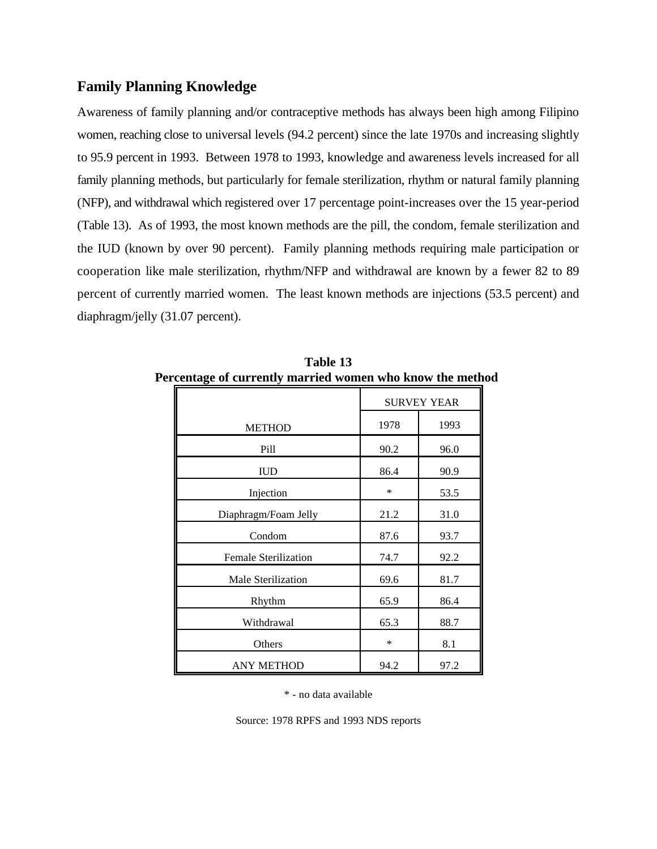#### **Family Planning Knowledge**

Awareness of family planning and/or contraceptive methods has always been high among Filipino women, reaching close to universal levels (94.2 percent) since the late 1970s and increasing slightly to 95.9 percent in 1993. Between 1978 to 1993, knowledge and awareness levels increased for all family planning methods, but particularly for female sterilization, rhythm or natural family planning (NFP), and withdrawal which registered over 17 percentage point-increases over the 15 year-period (Table 13). As of 1993, the most known methods are the pill, the condom, female sterilization and the IUD (known by over 90 percent). Family planning methods requiring male participation or cooperation like male sterilization, rhythm/NFP and withdrawal are known by a fewer 82 to 89 percent of currently married women. The least known methods are injections (53.5 percent) and diaphragm/jelly (31.07 percent).

| cenage of carrently married women who know the meth |                    |      |  |  |  |
|-----------------------------------------------------|--------------------|------|--|--|--|
|                                                     | <b>SURVEY YEAR</b> |      |  |  |  |
| <b>METHOD</b>                                       | 1978               | 1993 |  |  |  |
| Pill                                                | 90.2               | 96.0 |  |  |  |
| <b>IUD</b>                                          | 86.4               | 90.9 |  |  |  |
| Injection                                           | $\ast$             | 53.5 |  |  |  |
| Diaphragm/Foam Jelly                                | 21.2               | 31.0 |  |  |  |
| Condom                                              | 87.6               | 93.7 |  |  |  |
| <b>Female Sterilization</b>                         | 74.7               | 92.2 |  |  |  |
| Male Sterilization                                  | 69.6               | 81.7 |  |  |  |
| Rhythm                                              | 65.9               | 86.4 |  |  |  |
| Withdrawal                                          | 65.3               | 88.7 |  |  |  |
| Others                                              | $\ast$             | 8.1  |  |  |  |
| <b>ANY METHOD</b>                                   | 94.2               | 97.2 |  |  |  |

**Table 13 Percentage of currently married women who know the method**

\* - no data available

Source: 1978 RPFS and 1993 NDS reports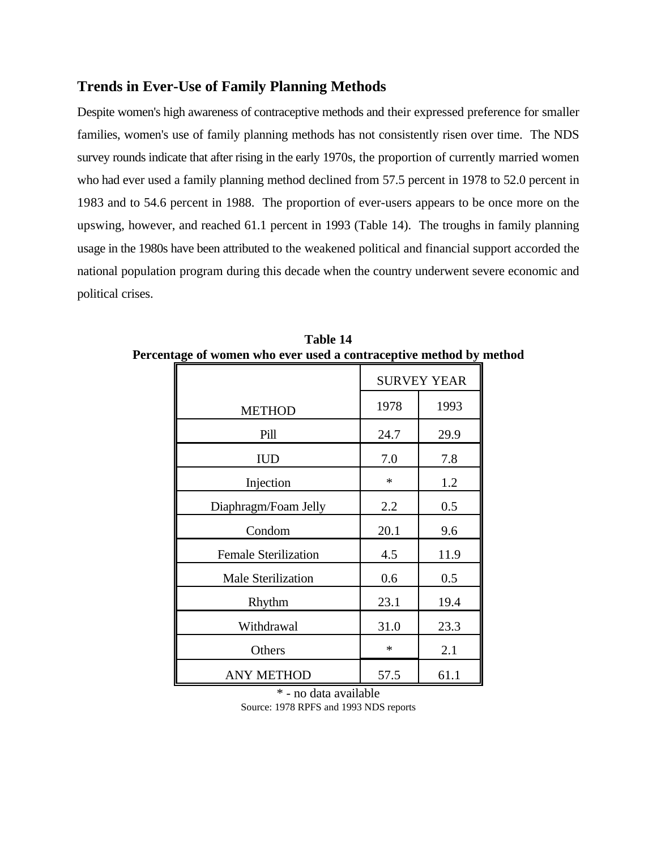#### **Trends in Ever-Use of Family Planning Methods**

Despite women's high awareness of contraceptive methods and their expressed preference for smaller families, women's use of family planning methods has not consistently risen over time. The NDS survey rounds indicate that after rising in the early 1970s, the proportion of currently married women who had ever used a family planning method declined from 57.5 percent in 1978 to 52.0 percent in 1983 and to 54.6 percent in 1988. The proportion of ever-users appears to be once more on the upswing, however, and reached 61.1 percent in 1993 (Table 14). The troughs in family planning usage in the 1980s have been attributed to the weakened political and financial support accorded the national population program during this decade when the country underwent severe economic and political crises.

|                             |        | <b>SURVEY YEAR</b> |
|-----------------------------|--------|--------------------|
| <b>METHOD</b>               | 1978   | 1993               |
| Pill                        | 24.7   | 29.9               |
| <b>IUD</b>                  | 7.0    | 7.8                |
| Injection                   | ∗      | 1.2                |
| Diaphragm/Foam Jelly        | 2.2    | 0.5                |
| Condom                      | 20.1   | 9.6                |
| <b>Female Sterilization</b> | 4.5    | 11.9               |
| <b>Male Sterilization</b>   | 0.6    | 0.5                |
| Rhythm                      | 23.1   | 19.4               |
| Withdrawal                  | 31.0   | 23.3               |
| Others                      | $\ast$ | 2.1                |
| <b>ANY METHOD</b>           | 57.5   | 61.1               |

**Table 14 Percentage of women who ever used a contraceptive method by method**

\* - no data available Source: 1978 RPFS and 1993 NDS reports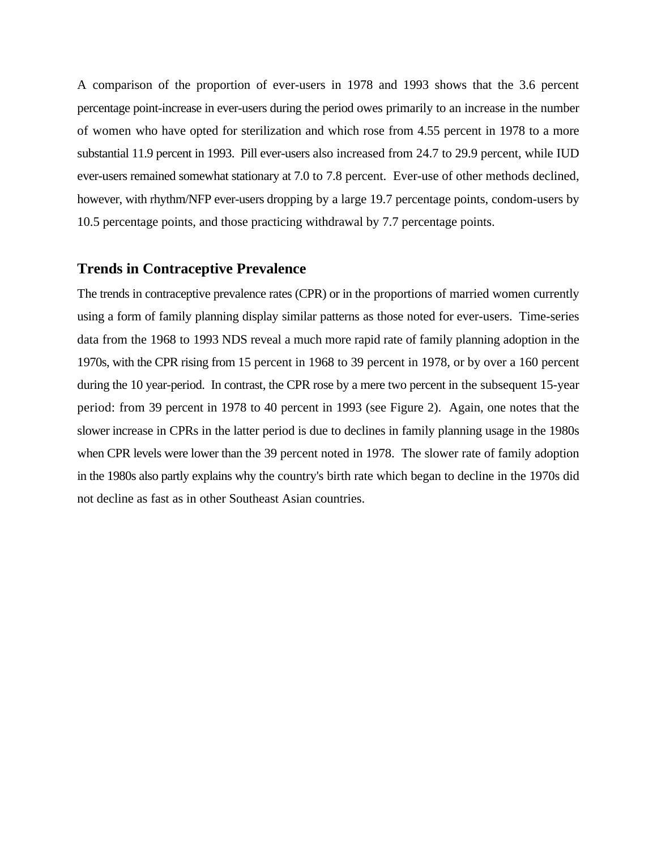A comparison of the proportion of ever-users in 1978 and 1993 shows that the 3.6 percent percentage point-increase in ever-users during the period owes primarily to an increase in the number of women who have opted for sterilization and which rose from 4.55 percent in 1978 to a more substantial 11.9 percent in 1993. Pill ever-users also increased from 24.7 to 29.9 percent, while IUD ever-users remained somewhat stationary at 7.0 to 7.8 percent. Ever-use of other methods declined, however, with rhythm/NFP ever-users dropping by a large 19.7 percentage points, condom-users by 10.5 percentage points, and those practicing withdrawal by 7.7 percentage points.

#### **Trends in Contraceptive Prevalence**

The trends in contraceptive prevalence rates (CPR) or in the proportions of married women currently using a form of family planning display similar patterns as those noted for ever-users. Time-series data from the 1968 to 1993 NDS reveal a much more rapid rate of family planning adoption in the 1970s, with the CPR rising from 15 percent in 1968 to 39 percent in 1978, or by over a 160 percent during the 10 year-period. In contrast, the CPR rose by a mere two percent in the subsequent 15-year period: from 39 percent in 1978 to 40 percent in 1993 (see Figure 2). Again, one notes that the slower increase in CPRs in the latter period is due to declines in family planning usage in the 1980s when CPR levels were lower than the 39 percent noted in 1978. The slower rate of family adoption in the 1980s also partly explains why the country's birth rate which began to decline in the 1970s did not decline as fast as in other Southeast Asian countries.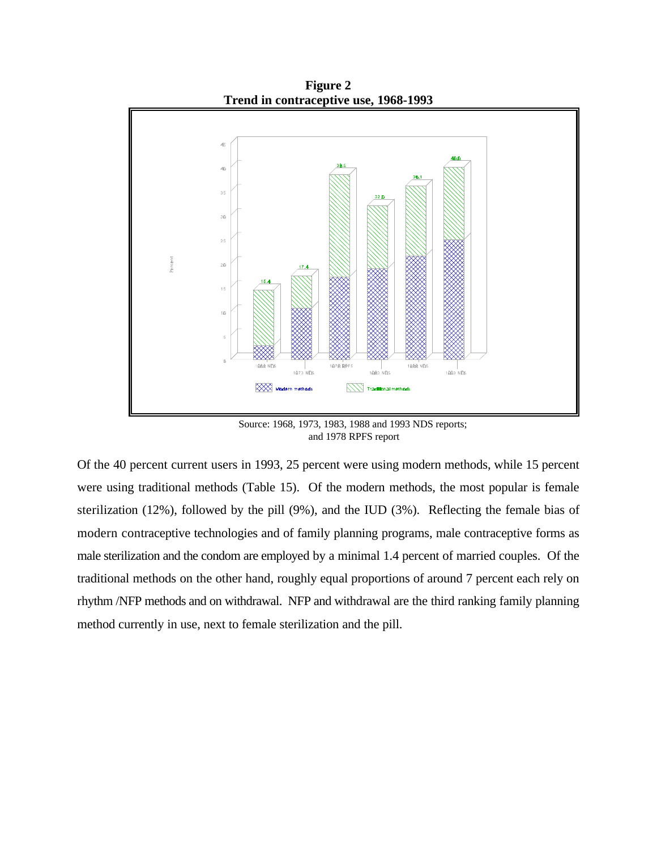

Source: 1968, 1973, 1983, 1988 and 1993 NDS reports; and 1978 RPFS report

Of the 40 percent current users in 1993, 25 percent were using modern methods, while 15 percent were using traditional methods (Table 15). Of the modern methods, the most popular is female sterilization (12%), followed by the pill (9%), and the IUD (3%). Reflecting the female bias of modern contraceptive technologies and of family planning programs, male contraceptive forms as male sterilization and the condom are employed by a minimal 1.4 percent of married couples. Of the traditional methods on the other hand, roughly equal proportions of around 7 percent each rely on rhythm /NFP methods and on withdrawal. NFP and withdrawal are the third ranking family planning method currently in use, next to female sterilization and the pill.

**Figure 2**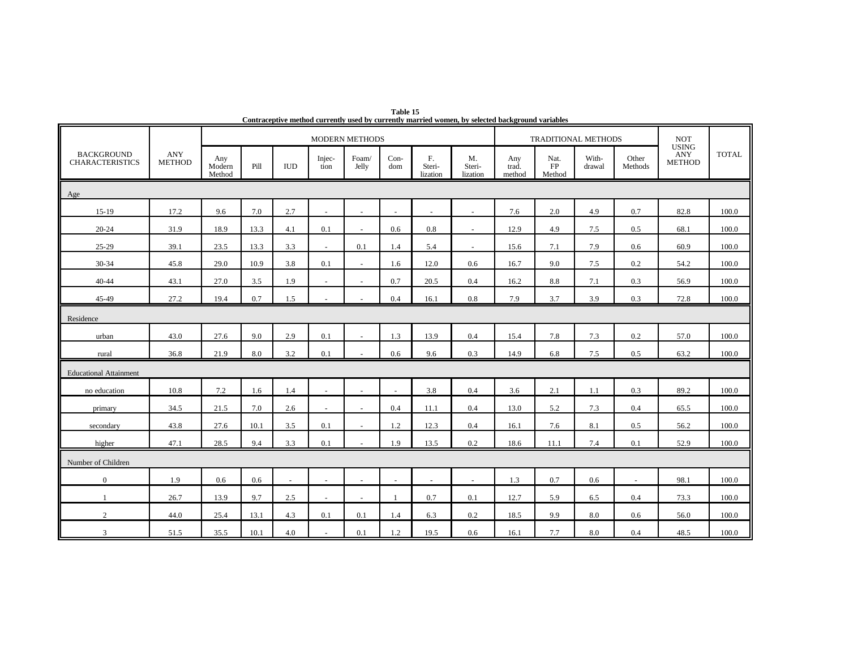|                                             |                             |                         |      |                |                | <b>MODERN METHODS</b>    |               |                          |                          |                        | <b>TRADITIONAL METHODS</b>  |                 |                  | <b>NOT</b><br><b>USING</b>  |              |
|---------------------------------------------|-----------------------------|-------------------------|------|----------------|----------------|--------------------------|---------------|--------------------------|--------------------------|------------------------|-----------------------------|-----------------|------------------|-----------------------------|--------------|
| <b>BACKGROUND</b><br><b>CHARACTERISTICS</b> | <b>ANY</b><br><b>METHOD</b> | Any<br>Modern<br>Method | Pill | <b>IUD</b>     | Injec-<br>tion | Foam/<br>Jelly           | $Con-$<br>dom | F.<br>Steri-<br>lization | M.<br>Steri-<br>lization | Any<br>trad.<br>method | Nat.<br><b>FP</b><br>Method | With-<br>drawal | Other<br>Methods | <b>ANY</b><br><b>METHOD</b> | <b>TOTAL</b> |
| Age                                         |                             |                         |      |                |                |                          |               |                          |                          |                        |                             |                 |                  |                             |              |
| $15-19$                                     | 17.2                        | 9.6                     | 7.0  | 2.7            |                |                          | $\sim$        |                          | $\sim$                   | 7.6                    | 2.0                         | 4.9             | 0.7              | 82.8                        | 100.0        |
| 20-24                                       | 31.9                        | 18.9                    | 13.3 | 4.1            | 0.1            | $\sim$                   | 0.6           | 0.8                      | $\sim$                   | 12.9                   | 4.9                         | 7.5             | 0.5              | 68.1                        | 100.0        |
| 25-29                                       | 39.1                        | 23.5                    | 13.3 | 3.3            | $\blacksquare$ | 0.1                      | 1.4           | 5.4                      | $\sim$                   | 15.6                   | 7.1                         | 7.9             | 0.6              | 60.9                        | 100.0        |
| 30-34                                       | 45.8                        | 29.0                    | 10.9 | 3.8            | 0.1            | $\sim$                   | 1.6           | 12.0                     | 0.6                      | 16.7                   | 9.0                         | 7.5             | 0.2              | 54.2                        | 100.0        |
| 40-44                                       | 43.1                        | 27.0                    | 3.5  | 1.9            | $\sim$         | $\sim$                   | 0.7           | 20.5                     | 0.4                      | 16.2                   | 8.8                         | 7.1             | 0.3              | 56.9                        | 100.0        |
| 45-49                                       | 27.2                        | 19.4                    | 0.7  | 1.5            |                |                          | 0.4           | 16.1                     | 0.8                      | 7.9                    | 3.7                         | 3.9             | 0.3              | 72.8                        | 100.0        |
| Residence                                   |                             |                         |      |                |                |                          |               |                          |                          |                        |                             |                 |                  |                             |              |
| urban                                       | 43.0                        | 27.6                    | 9.0  | 2.9            | 0.1            | $\sim$                   | 1.3           | 13.9                     | 0.4                      | 15.4                   | 7.8                         | 7.3             | 0.2              | 57.0                        | 100.0        |
| rural                                       | 36.8                        | 21.9                    | 8.0  | 3.2            | 0.1            |                          | 0.6           | 9.6                      | 0.3                      | 14.9                   | 6.8                         | 7.5             | 0.5              | 63.2                        | 100.0        |
| <b>Educational Attainment</b>               |                             |                         |      |                |                |                          |               |                          |                          |                        |                             |                 |                  |                             |              |
| no education                                | 10.8                        | 7.2                     | 1.6  | 1.4            |                |                          | $\sim$        | 3.8                      | 0.4                      | 3.6                    | 2.1                         | 1.1             | 0.3              | 89.2                        | 100.0        |
| primary                                     | 34.5                        | 21.5                    | 7.0  | 2.6            | $\blacksquare$ | $\sim$                   | 0.4           | 11.1                     | 0.4                      | 13.0                   | 5.2                         | 7.3             | 0.4              | 65.5                        | 100.0        |
| secondary                                   | 43.8                        | 27.6                    | 10.1 | 3.5            | 0.1            |                          | 1.2           | 12.3                     | 0.4                      | 16.1                   | 7.6                         | 8.1             | 0.5              | 56.2                        | 100.0        |
| higher                                      | 47.1                        | 28.5                    | 9.4  | 3.3            | 0.1            |                          | 1.9           | 13.5                     | 0.2                      | 18.6                   | 11.1                        | 7.4             | 0.1              | 52.9                        | 100.0        |
| Number of Children                          |                             |                         |      |                |                |                          |               |                          |                          |                        |                             |                 |                  |                             |              |
| $\overline{0}$                              | 1.9                         | 0.6                     | 0.6  | $\overline{a}$ | $\sim$         | $\sim$                   | $\sim$        | $\sim$                   | $\sim$                   | 1.3                    | 0.7                         | 0.6             | $\sim$           | 98.1                        | 100.0        |
| $\overline{1}$                              | 26.7                        | 13.9                    | 9.7  | 2.5            | $\overline{a}$ | $\overline{\phantom{a}}$ | -1            | 0.7                      | 0.1                      | 12.7                   | 5.9                         | 6.5             | 0.4              | 73.3                        | 100.0        |
| 2                                           | 44.0                        | 25.4                    | 13.1 | 4.3            | 0.1            | 0.1                      | 1.4           | 6.3                      | 0.2                      | 18.5                   | 9.9                         | 8.0             | 0.6              | 56.0                        | 100.0        |
| 3                                           | 51.5                        | 35.5                    | 10.1 | 4.0            | ÷,             | 0.1                      | 1.2           | 19.5                     | 0.6                      | 16.1                   | 7.7                         | 8.0             | 0.4              | 48.5                        | 100.0        |

**Table 15 Contraceptive method currently used by currently married women, by selected background variables**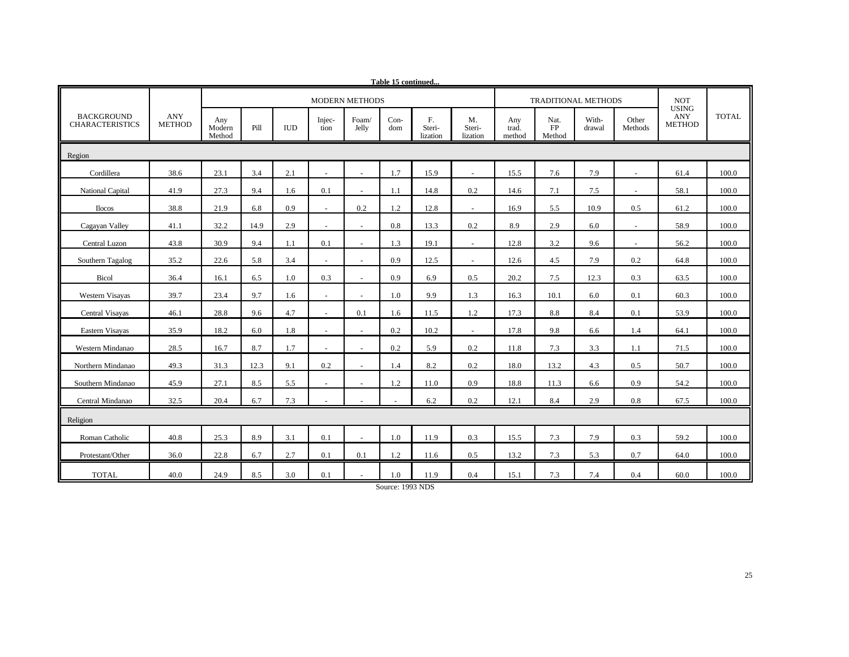| <u>lable 15 continued</u>                   |                      |                         |      |            |                |                          |             |                          |                          |                        |                            |                 |                          |                                      |              |
|---------------------------------------------|----------------------|-------------------------|------|------------|----------------|--------------------------|-------------|--------------------------|--------------------------|------------------------|----------------------------|-----------------|--------------------------|--------------------------------------|--------------|
|                                             |                      |                         |      |            |                | <b>MODERN METHODS</b>    |             |                          |                          |                        | <b>TRADITIONAL METHODS</b> |                 |                          | <b>NOT</b>                           |              |
| <b>BACKGROUND</b><br><b>CHARACTERISTICS</b> | ANY<br><b>METHOD</b> | Any<br>Modern<br>Method | Pill | <b>IUD</b> | Injec-<br>tion | Foam/<br>Jelly           | Con-<br>dom | F.<br>Steri-<br>lization | M.<br>Steri-<br>lization | Any<br>trad.<br>method | Nat.<br>FP<br>Method       | With-<br>drawal | Other<br>Methods         | <b>USING</b><br>ANY<br><b>METHOD</b> | <b>TOTAL</b> |
| Region                                      |                      |                         |      |            |                |                          |             |                          |                          |                        |                            |                 |                          |                                      |              |
| Cordillera                                  | 38.6                 | 23.1                    | 3.4  | 2.1        |                |                          | 1.7         | 15.9                     |                          | 15.5                   | 7.6                        | 7.9             |                          | 61.4                                 | 100.0        |
| National Capital                            | 41.9                 | 27.3                    | 9.4  | 1.6        | 0.1            | $\sim$                   | 1.1         | 14.8                     | 0.2                      | 14.6                   | 7.1                        | 7.5             | $\overline{\phantom{a}}$ | 58.1                                 | 100.0        |
| <b>Ilocos</b>                               | 38.8                 | 21.9                    | 6.8  | 0.9        |                | 0.2                      | 1.2         | 12.8                     |                          | 16.9                   | 5.5                        | 10.9            | 0.5                      | 61.2                                 | 100.0        |
| Cagayan Valley                              | 41.1                 | 32.2                    | 14.9 | 2.9        |                | $\sim$                   | 0.8         | 13.3                     | 0.2                      | 8.9                    | 2.9                        | 6.0             | ÷.                       | 58.9                                 | 100.0        |
| Central Luzon                               | 43.8                 | 30.9                    | 9.4  | 1.1        | 0.1            | $\sim$                   | 1.3         | 19.1                     | $\sim$                   | 12.8                   | 3.2                        | 9.6             | $\omega$                 | 56.2                                 | 100.0        |
| Southern Tagalog                            | 35.2                 | 22.6                    | 5.8  | 3.4        |                | $\sim$                   | 0.9         | 12.5                     | $\sim$                   | 12.6                   | 4.5                        | 7.9             | 0.2                      | 64.8                                 | 100.0        |
| Bicol                                       | 36.4                 | 16.1                    | 6.5  | 1.0        | 0.3            | $\sim$                   | 0.9         | 6.9                      | 0.5                      | 20.2                   | 7.5                        | 12.3            | 0.3                      | 63.5                                 | 100.0        |
| Western Visayas                             | 39.7                 | 23.4                    | 9.7  | 1.6        |                |                          | 1.0         | 9.9                      | 1.3                      | 16.3                   | 10.1                       | 6.0             | 0.1                      | 60.3                                 | 100.0        |
| Central Visayas                             | 46.1                 | 28.8                    | 9.6  | 4.7        | $\mathbf{r}$   | 0.1                      | 1.6         | 11.5                     | 1.2                      | 17.3                   | 8.8                        | 8.4             | 0.1                      | 53.9                                 | 100.0        |
| Eastern Visayas                             | 35.9                 | 18.2                    | 6.0  | 1.8        |                | $\sim$                   | 0.2         | 10.2                     | $\sim$                   | 17.8                   | 9.8                        | 6.6             | 1.4                      | 64.1                                 | 100.0        |
| Western Mindanao                            | 28.5                 | 16.7                    | 8.7  | 1.7        | $\overline{a}$ | $\sim$                   | 0.2         | 5.9                      | 0.2                      | 11.8                   | 7.3                        | 3.3             | 1.1                      | 71.5                                 | 100.0        |
| Northern Mindanao                           | 49.3                 | 31.3                    | 12.3 | 9.1        | 0.2            | $\sim$                   | 1.4         | 8.2                      | 0.2                      | 18.0                   | 13.2                       | 4.3             | 0.5                      | 50.7                                 | 100.0        |
| Southern Mindanao                           | 45.9                 | 27.1                    | 8.5  | 5.5        | $\blacksquare$ | $\overline{\phantom{a}}$ | 1.2         | 11.0                     | 0.9                      | 18.8                   | 11.3                       | 6.6             | 0.9                      | 54.2                                 | 100.0        |
| Central Mindanao                            | 32.5                 | 20.4                    | 6.7  | 7.3        |                |                          |             | 6.2                      | 0.2                      | 12.1                   | 8.4                        | 2.9             | 0.8                      | 67.5                                 | 100.0        |
| Religion                                    |                      |                         |      |            |                |                          |             |                          |                          |                        |                            |                 |                          |                                      |              |
| Roman Catholic                              | 40.8                 | 25.3                    | 8.9  | 3.1        | 0.1            |                          | 1.0         | 11.9                     | 0.3                      | 15.5                   | 7.3                        | 7.9             | 0.3                      | 59.2                                 | 100.0        |
| Protestant/Other                            | 36.0                 | 22.8                    | 6.7  | 2.7        | 0.1            | 0.1                      | 1.2         | 11.6                     | 0.5                      | 13.2                   | 7.3                        | 5.3             | 0.7                      | 64.0                                 | 100.0        |
| <b>TOTAL</b>                                | 40.0                 | 24.9                    | 8.5  | 3.0        | 0.1            |                          | 1.0         | 11.9                     | 0.4                      | 15.1                   | 7.3                        | 7.4             | 0.4                      | 60.0                                 | 100.0        |

**Table 15 continued...**

Source: 1993 NDS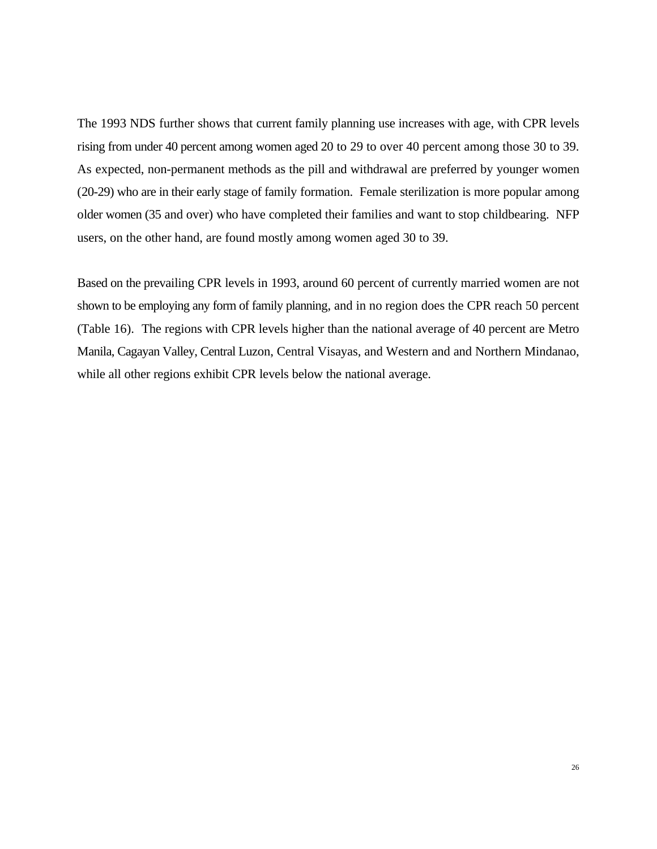The 1993 NDS further shows that current family planning use increases with age, with CPR levels rising from under 40 percent among women aged 20 to 29 to over 40 percent among those 30 to 39. As expected, non-permanent methods as the pill and withdrawal are preferred by younger women (20-29) who are in their early stage of family formation. Female sterilization is more popular among older women (35 and over) who have completed their families and want to stop childbearing. NFP users, on the other hand, are found mostly among women aged 30 to 39.

Based on the prevailing CPR levels in 1993, around 60 percent of currently married women are not shown to be employing any form of family planning, and in no region does the CPR reach 50 percent (Table 16). The regions with CPR levels higher than the national average of 40 percent are Metro Manila, Cagayan Valley, Central Luzon, Central Visayas, and Western and and Northern Mindanao, while all other regions exhibit CPR levels below the national average.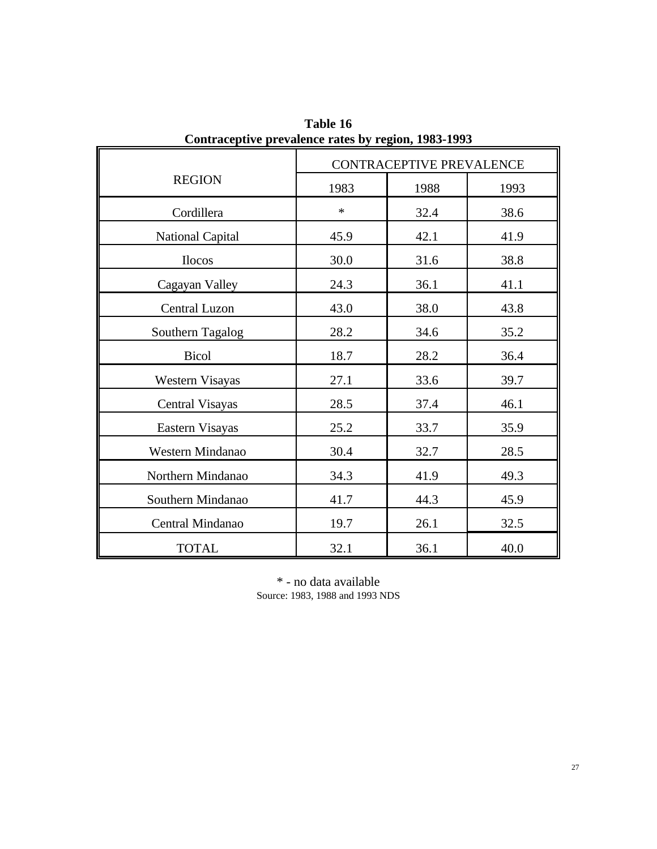|                         |        | CONTRACEPTIVE PREVALENCE |      |
|-------------------------|--------|--------------------------|------|
| <b>REGION</b>           | 1983   | 1988                     | 1993 |
| Cordillera              | $\ast$ | 32.4                     | 38.6 |
| <b>National Capital</b> | 45.9   | 42.1                     | 41.9 |
| <b>Ilocos</b>           | 30.0   | 31.6                     | 38.8 |
| Cagayan Valley          | 24.3   | 36.1                     | 41.1 |
| Central Luzon           | 43.0   | 38.0                     | 43.8 |
| Southern Tagalog        | 28.2   | 34.6                     | 35.2 |
| <b>Bicol</b>            | 18.7   | 28.2                     | 36.4 |
| Western Visayas         | 27.1   | 33.6                     | 39.7 |
| <b>Central Visayas</b>  | 28.5   | 37.4                     | 46.1 |
| Eastern Visayas         | 25.2   | 33.7                     | 35.9 |
| Western Mindanao        | 30.4   | 32.7                     | 28.5 |
| Northern Mindanao       | 34.3   | 41.9                     | 49.3 |
| Southern Mindanao       | 41.7   | 44.3                     | 45.9 |
| Central Mindanao        | 19.7   | 26.1                     | 32.5 |
| <b>TOTAL</b>            | 32.1   | 36.1                     | 40.0 |

**Table 16 Contraceptive prevalence rates by region, 1983-1993**

\* - no data available Source: 1983, 1988 and 1993 NDS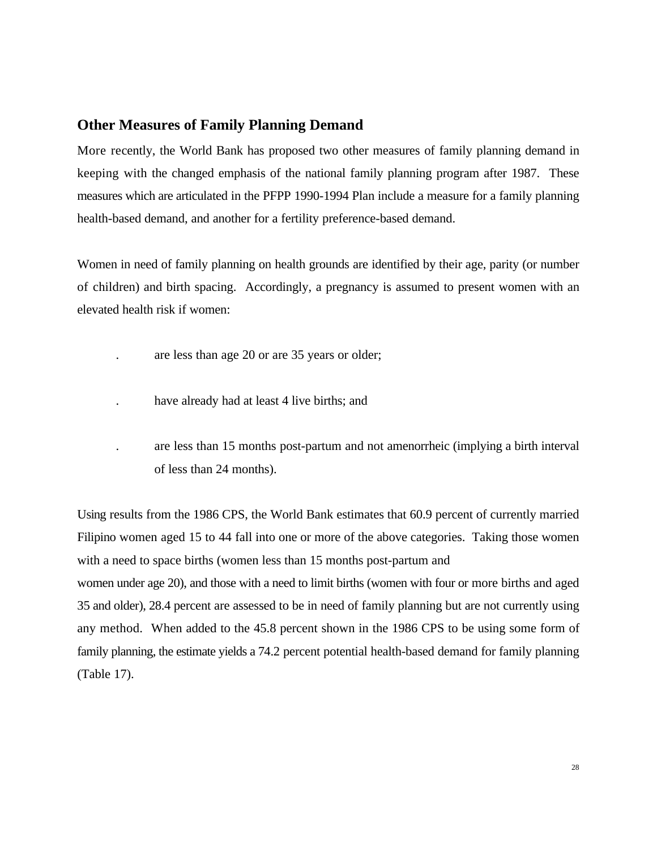#### **Other Measures of Family Planning Demand**

More recently, the World Bank has proposed two other measures of family planning demand in keeping with the changed emphasis of the national family planning program after 1987. These measures which are articulated in the PFPP 1990-1994 Plan include a measure for a family planning health-based demand, and another for a fertility preference-based demand.

Women in need of family planning on health grounds are identified by their age, parity (or number of children) and birth spacing. Accordingly, a pregnancy is assumed to present women with an elevated health risk if women:

- . are less than age 20 or are 35 years or older;
- . have already had at least 4 live births; and
- . are less than 15 months post-partum and not amenorrheic (implying a birth interval of less than 24 months).

Using results from the 1986 CPS, the World Bank estimates that 60.9 percent of currently married Filipino women aged 15 to 44 fall into one or more of the above categories. Taking those women with a need to space births (women less than 15 months post-partum and women under age 20), and those with a need to limit births (women with four or more births and aged 35 and older), 28.4 percent are assessed to be in need of family planning but are not currently using any method. When added to the 45.8 percent shown in the 1986 CPS to be using some form of family planning, the estimate yields a 74.2 percent potential health-based demand for family planning (Table 17).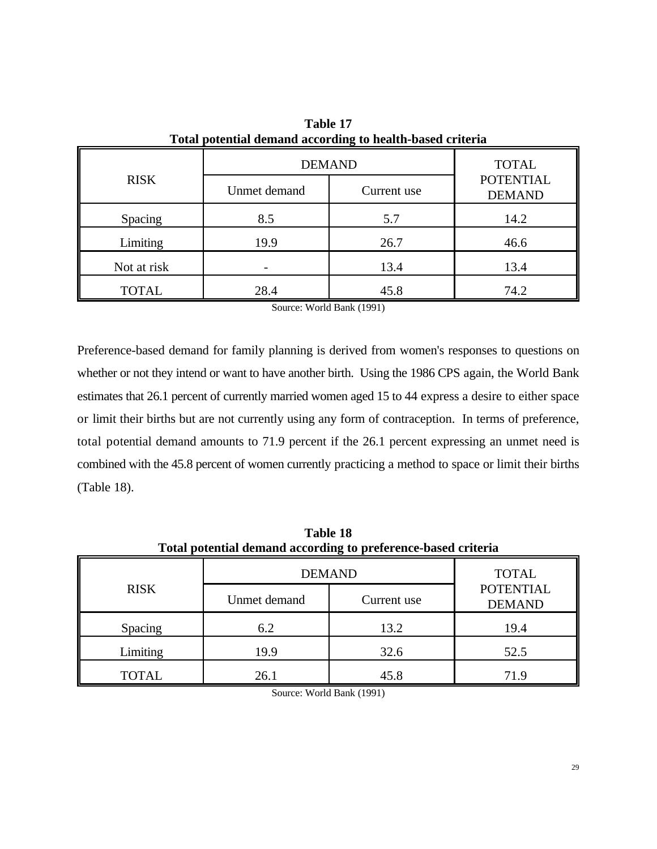|              |              | <b>DEMAND</b> | <b>TOTAL</b>                      |
|--------------|--------------|---------------|-----------------------------------|
| <b>RISK</b>  | Unmet demand | Current use   | <b>POTENTIAL</b><br><b>DEMAND</b> |
| Spacing      | 8.5          | 5.7           | 14.2                              |
| Limiting     | 19.9         | 26.7          | 46.6                              |
| Not at risk  |              | 13.4          | 13.4                              |
| <b>TOTAL</b> | 28.4         | 45.8          | 74.2                              |

**Table 17 Total potential demand according to health-based criteria**

Source: World Bank (1991)

Preference-based demand for family planning is derived from women's responses to questions on whether or not they intend or want to have another birth. Using the 1986 CPS again, the World Bank estimates that 26.1 percent of currently married women aged 15 to 44 express a desire to either space or limit their births but are not currently using any form of contraception. In terms of preference, total potential demand amounts to 71.9 percent if the 26.1 percent expressing an unmet need is combined with the 45.8 percent of women currently practicing a method to space or limit their births (Table 18).

| Total potential demand according to preference-based criteria |               |              |                                   |  |  |  |  |
|---------------------------------------------------------------|---------------|--------------|-----------------------------------|--|--|--|--|
|                                                               | <b>DEMAND</b> | <b>TOTAL</b> |                                   |  |  |  |  |
| <b>RISK</b>                                                   | Unmet demand  | Current use  | <b>POTENTIAL</b><br><b>DEMAND</b> |  |  |  |  |
| Spacing                                                       | 6.2           | 13.2         | 19.4                              |  |  |  |  |
| Limiting                                                      | 19.9          | 32.6         | 52.5                              |  |  |  |  |
| <b>TOTAL</b>                                                  | 26.1          | 45.8         | 71.9                              |  |  |  |  |

**Table 18**

Source: World Bank (1991)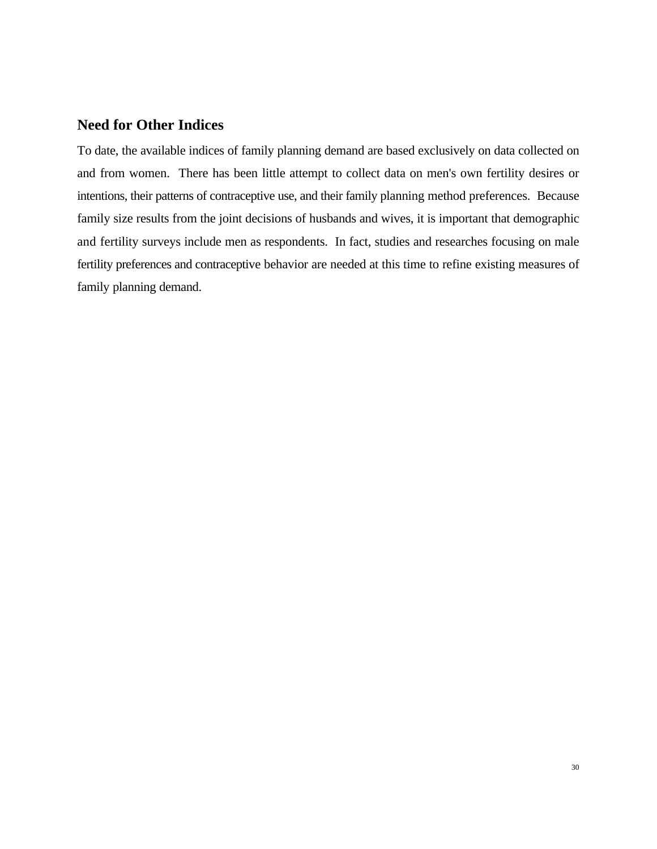# **Need for Other Indices**

To date, the available indices of family planning demand are based exclusively on data collected on and from women. There has been little attempt to collect data on men's own fertility desires or intentions, their patterns of contraceptive use, and their family planning method preferences. Because family size results from the joint decisions of husbands and wives, it is important that demographic and fertility surveys include men as respondents. In fact, studies and researches focusing on male fertility preferences and contraceptive behavior are needed at this time to refine existing measures of family planning demand.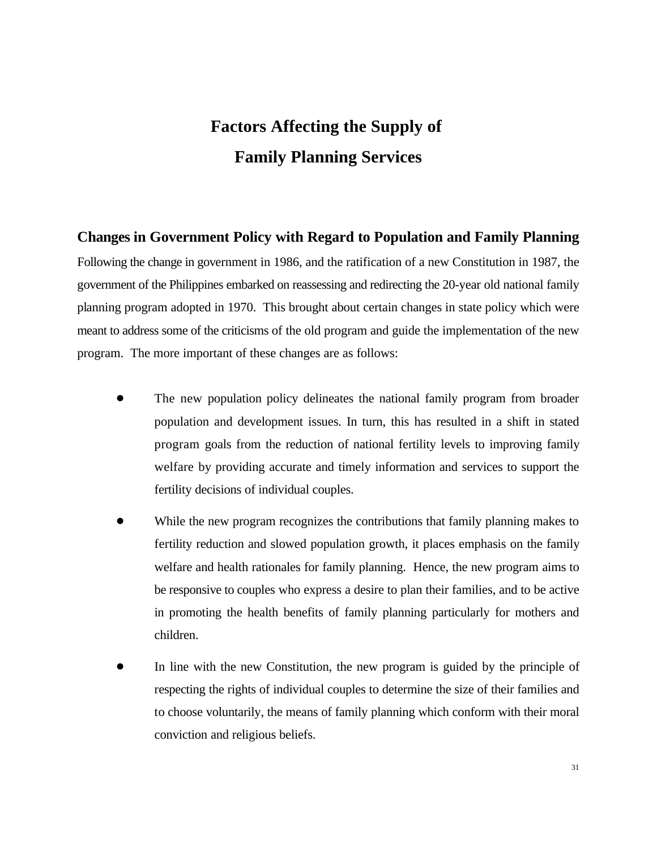# **Factors Affecting the Supply of Family Planning Services**

#### **Changes in Government Policy with Regard to Population and Family Planning**

Following the change in government in 1986, and the ratification of a new Constitution in 1987, the government of the Philippines embarked on reassessing and redirecting the 20-year old national family planning program adopted in 1970. This brought about certain changes in state policy which were meant to address some of the criticisms of the old program and guide the implementation of the new program. The more important of these changes are as follows:

- ! The new population policy delineates the national family program from broader population and development issues. In turn, this has resulted in a shift in stated program goals from the reduction of national fertility levels to improving family welfare by providing accurate and timely information and services to support the fertility decisions of individual couples.
- While the new program recognizes the contributions that family planning makes to fertility reduction and slowed population growth, it places emphasis on the family welfare and health rationales for family planning. Hence, the new program aims to be responsive to couples who express a desire to plan their families, and to be active in promoting the health benefits of family planning particularly for mothers and children.
- In line with the new Constitution, the new program is guided by the principle of respecting the rights of individual couples to determine the size of their families and to choose voluntarily, the means of family planning which conform with their moral conviction and religious beliefs.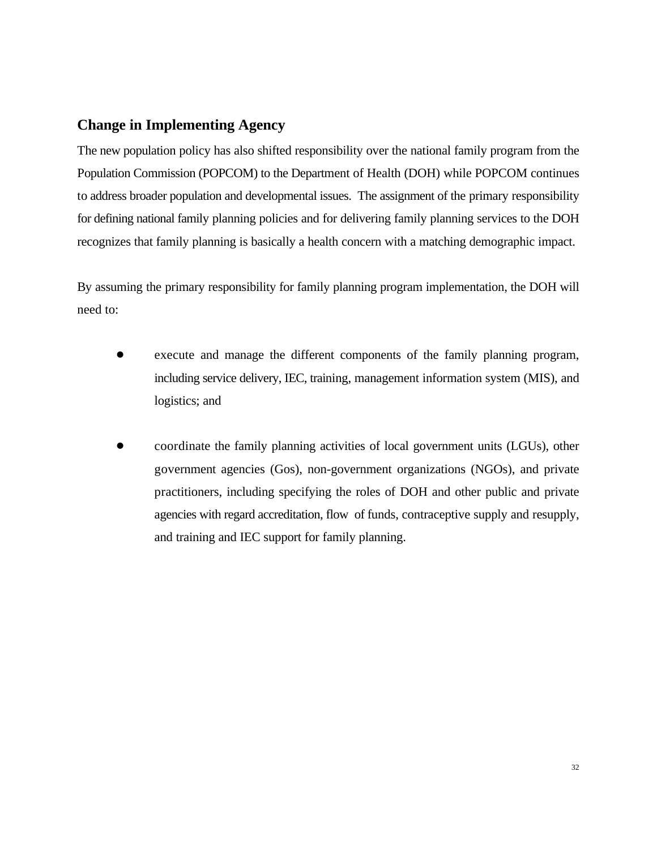# **Change in Implementing Agency**

The new population policy has also shifted responsibility over the national family program from the Population Commission (POPCOM) to the Department of Health (DOH) while POPCOM continues to address broader population and developmental issues. The assignment of the primary responsibility for defining national family planning policies and for delivering family planning services to the DOH recognizes that family planning is basically a health concern with a matching demographic impact.

By assuming the primary responsibility for family planning program implementation, the DOH will need to:

- execute and manage the different components of the family planning program, including service delivery, IEC, training, management information system (MIS), and logistics; and
- ! coordinate the family planning activities of local government units (LGUs), other government agencies (Gos), non-government organizations (NGOs), and private practitioners, including specifying the roles of DOH and other public and private agencies with regard accreditation, flow of funds, contraceptive supply and resupply, and training and IEC support for family planning.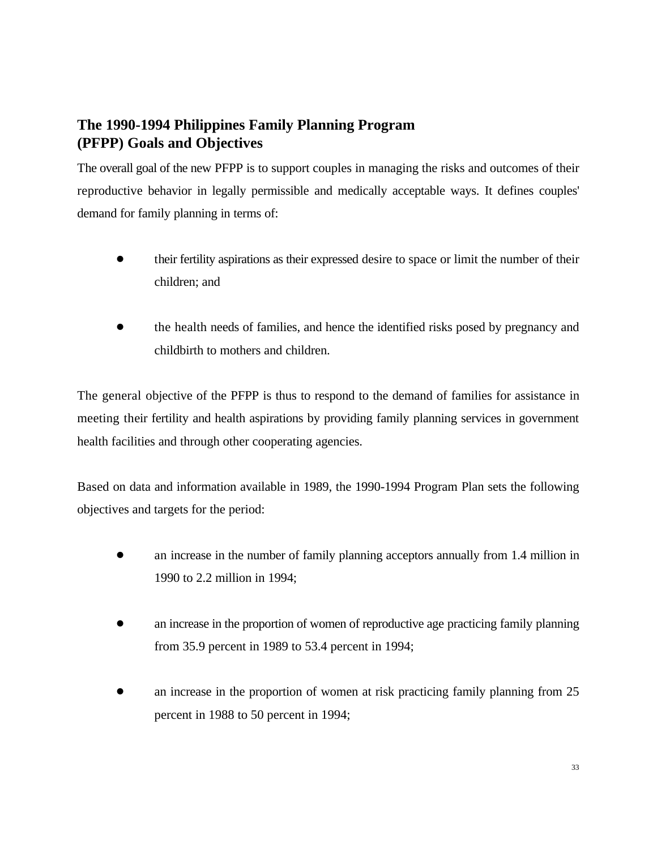# **The 1990-1994 Philippines Family Planning Program (PFPP) Goals and Objectives**

The overall goal of the new PFPP is to support couples in managing the risks and outcomes of their reproductive behavior in legally permissible and medically acceptable ways. It defines couples' demand for family planning in terms of:

- ! their fertility aspirations as their expressed desire to space or limit the number of their children; and
- the health needs of families, and hence the identified risks posed by pregnancy and childbirth to mothers and children.

The general objective of the PFPP is thus to respond to the demand of families for assistance in meeting their fertility and health aspirations by providing family planning services in government health facilities and through other cooperating agencies.

Based on data and information available in 1989, the 1990-1994 Program Plan sets the following objectives and targets for the period:

- an increase in the number of family planning acceptors annually from 1.4 million in 1990 to 2.2 million in 1994;
- an increase in the proportion of women of reproductive age practicing family planning from 35.9 percent in 1989 to 53.4 percent in 1994;
- an increase in the proportion of women at risk practicing family planning from 25 percent in 1988 to 50 percent in 1994;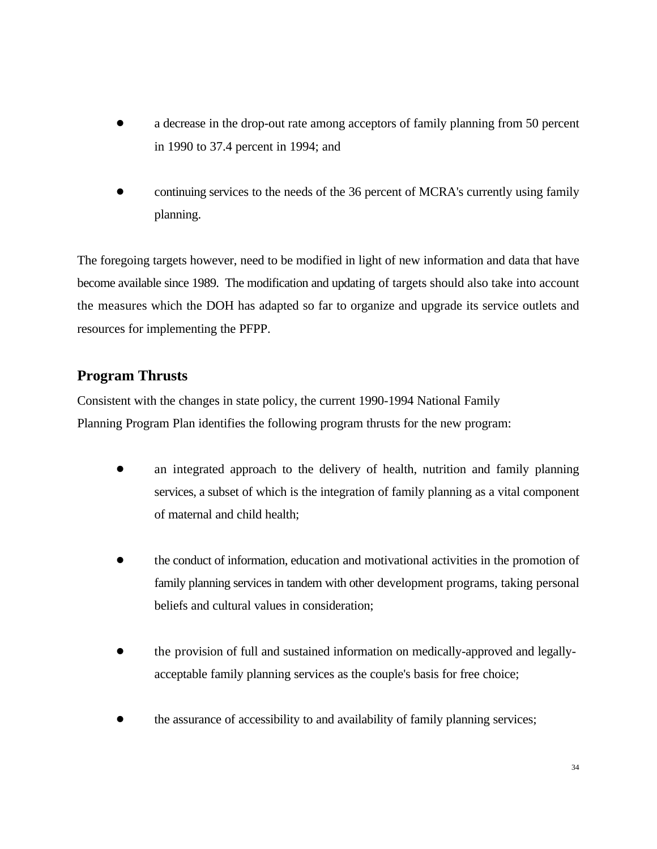- a decrease in the drop-out rate among acceptors of family planning from 50 percent in 1990 to 37.4 percent in 1994; and
- continuing services to the needs of the 36 percent of MCRA's currently using family planning.

The foregoing targets however, need to be modified in light of new information and data that have become available since 1989. The modification and updating of targets should also take into account the measures which the DOH has adapted so far to organize and upgrade its service outlets and resources for implementing the PFPP.

# **Program Thrusts**

Consistent with the changes in state policy, the current 1990-1994 National Family Planning Program Plan identifies the following program thrusts for the new program:

- ! an integrated approach to the delivery of health, nutrition and family planning services, a subset of which is the integration of family planning as a vital component of maternal and child health;
- the conduct of information, education and motivational activities in the promotion of family planning services in tandem with other development programs, taking personal beliefs and cultural values in consideration;
- ! the provision of full and sustained information on medically-approved and legallyacceptable family planning services as the couple's basis for free choice;
- the assurance of accessibility to and availability of family planning services;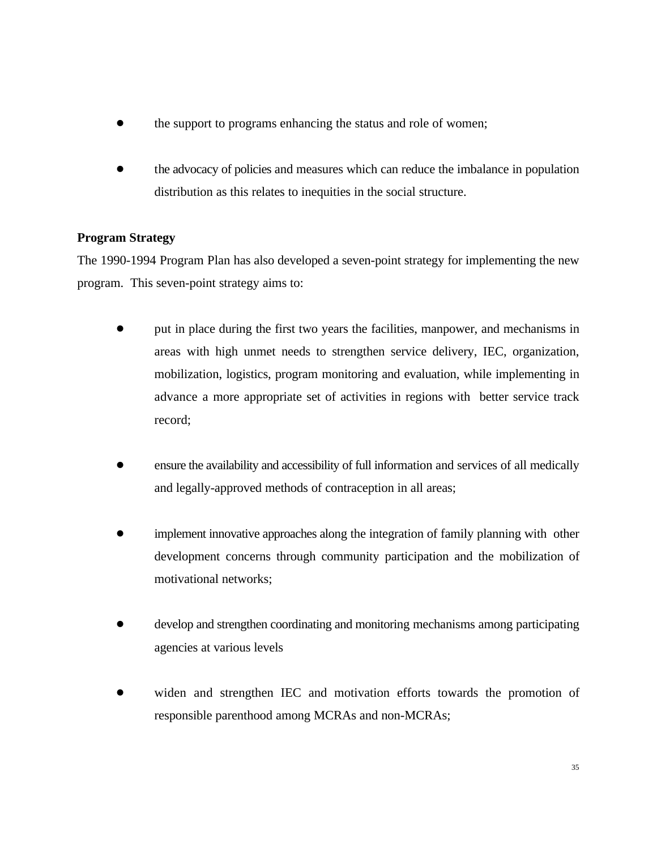- the support to programs enhancing the status and role of women;
- ! the advocacy of policies and measures which can reduce the imbalance in population distribution as this relates to inequities in the social structure.

#### **Program Strategy**

The 1990-1994 Program Plan has also developed a seven-point strategy for implementing the new program. This seven-point strategy aims to:

- put in place during the first two years the facilities, manpower, and mechanisms in areas with high unmet needs to strengthen service delivery, IEC, organization, mobilization, logistics, program monitoring and evaluation, while implementing in advance a more appropriate set of activities in regions with better service track record;
- ! ensure the availability and accessibility of full information and services of all medically and legally-approved methods of contraception in all areas;
- implement innovative approaches along the integration of family planning with other development concerns through community participation and the mobilization of motivational networks;
- ! develop and strengthen coordinating and monitoring mechanisms among participating agencies at various levels
- ! widen and strengthen IEC and motivation efforts towards the promotion of responsible parenthood among MCRAs and non-MCRAs;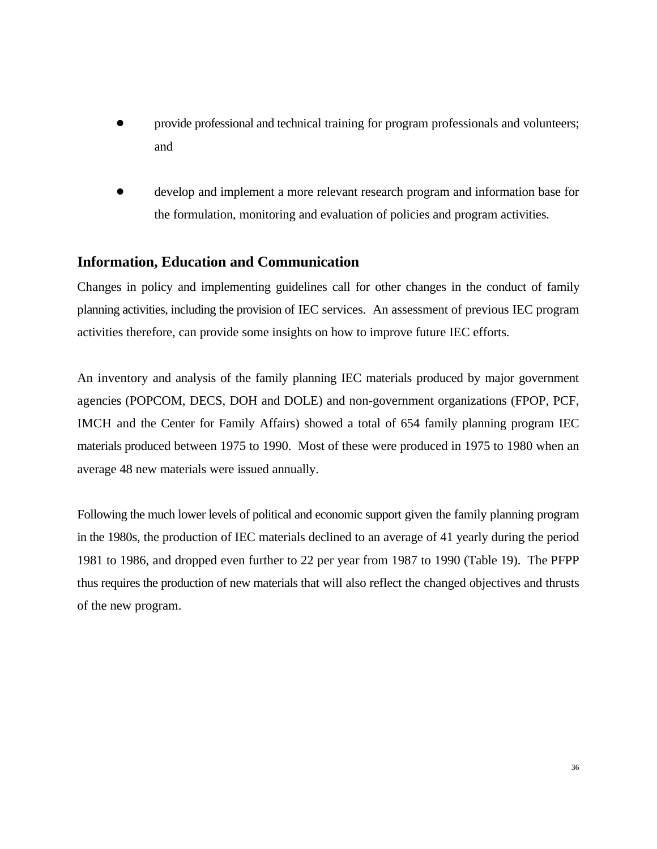- provide professional and technical training for program professionals and volunteers; and
- ! develop and implement a more relevant research program and information base for the formulation, monitoring and evaluation of policies and program activities.

### **Information, Education and Communication**

Changes in policy and implementing guidelines call for other changes in the conduct of family planning activities, including the provision of IEC services. An assessment of previous IEC program activities therefore, can provide some insights on how to improve future IEC efforts.

An inventory and analysis of the family planning IEC materials produced by major government agencies (POPCOM, DECS, DOH and DOLE) and non-government organizations (FPOP, PCF, IMCH and the Center for Family Affairs) showed a total of 654 family planning program IEC materials produced between 1975 to 1990. Most of these were produced in 1975 to 1980 when an average 48 new materials were issued annually.

Following the much lower levels of political and economic support given the family planning program in the 1980s, the production of IEC materials declined to an average of 41 yearly during the period 1981 to 1986, and dropped even further to 22 per year from 1987 to 1990 (Table 19). The PFPP thus requires the production of new materials that will also reflect the changed objectives and thrusts of the new program.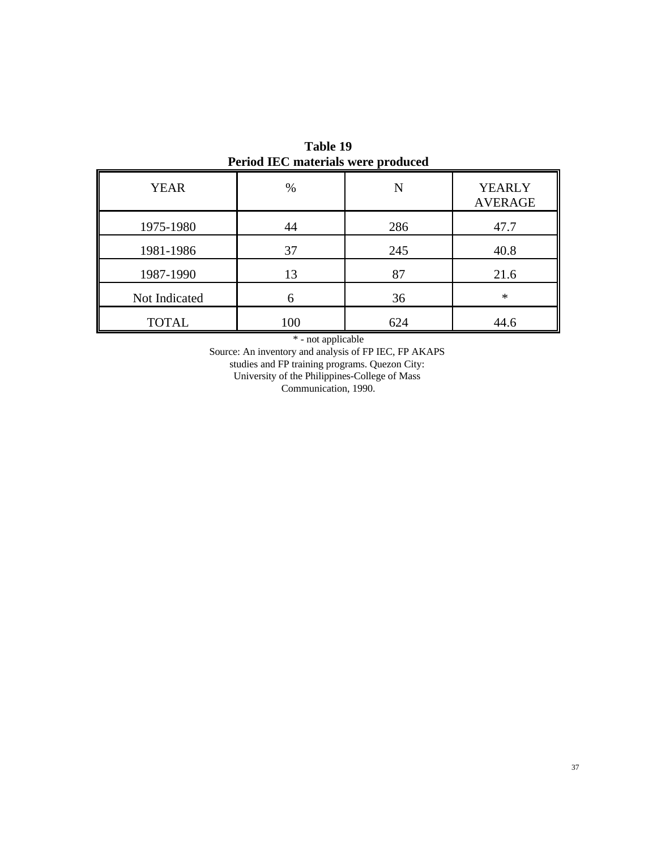|               | $\sim$ 0.10 $\mu$ 20 $\sim$ 11 $\mu$ 0.1 $\mu$ 0.1 $\mu$ 0.1 $\mu$ 0.1 $\mu$ |     |                                 |
|---------------|------------------------------------------------------------------------------|-----|---------------------------------|
| <b>YEAR</b>   | %                                                                            | N   | <b>YEARLY</b><br><b>AVERAGE</b> |
| 1975-1980     | 44                                                                           | 286 | 47.7                            |
| 1981-1986     | 37                                                                           | 245 | 40.8                            |
| 1987-1990     | 13                                                                           | 87  | 21.6                            |
| Not Indicated |                                                                              | 36  | $\ast$                          |
| <b>TOTAL</b>  | 100                                                                          | 624 | 44.6                            |

**Table 19 Period IEC materials were produced**

\* - not applicable

Source: An inventory and analysis of FP IEC, FP AKAPS studies and FP training programs. Quezon City: University of the Philippines-College of Mass Communication, 1990.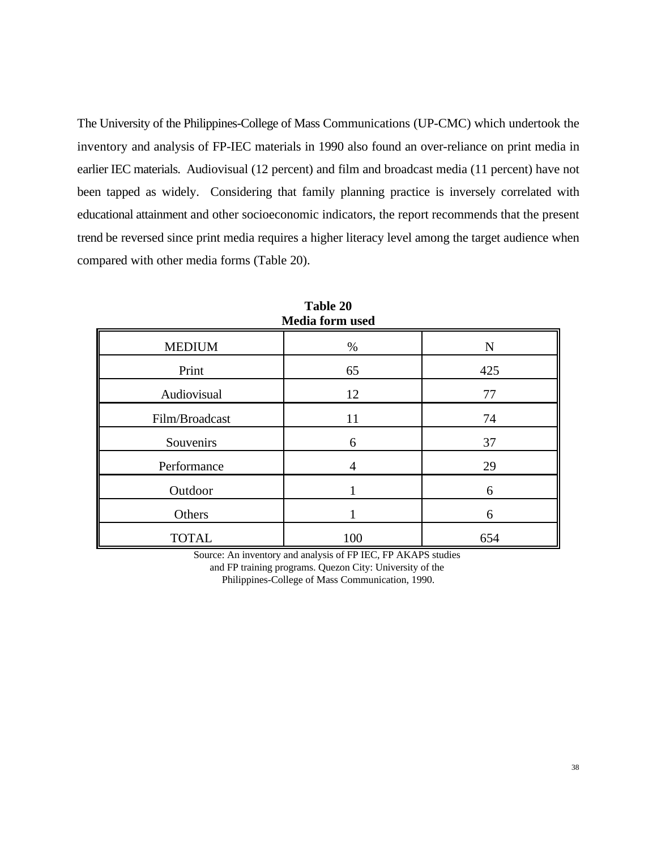The University of the Philippines-College of Mass Communications (UP-CMC) which undertook the inventory and analysis of FP-IEC materials in 1990 also found an over-reliance on print media in earlier IEC materials. Audiovisual (12 percent) and film and broadcast media (11 percent) have not been tapped as widely. Considering that family planning practice is inversely correlated with educational attainment and other socioeconomic indicators, the report recommends that the present trend be reversed since print media requires a higher literacy level among the target audience when compared with other media forms (Table 20).

|                | <i><b>EVALUATOLINE UDCU</b></i> |           |
|----------------|---------------------------------|-----------|
| <b>MEDIUM</b>  | $\%$                            | ${\bf N}$ |
| Print          | 65                              | 425       |
| Audiovisual    | 12                              | 77        |
| Film/Broadcast | 11                              | 74        |
| Souvenirs      | 6                               | 37        |
| Performance    |                                 | 29        |
| Outdoor        |                                 | 6         |
| Others         |                                 | 6         |
| <b>TOTAL</b>   | 100                             | 654       |

**Table 20 Media form used**

Source: An inventory and analysis of FP IEC, FP AKAPS studies and FP training programs. Quezon City: University of the

Philippines-College of Mass Communication, 1990.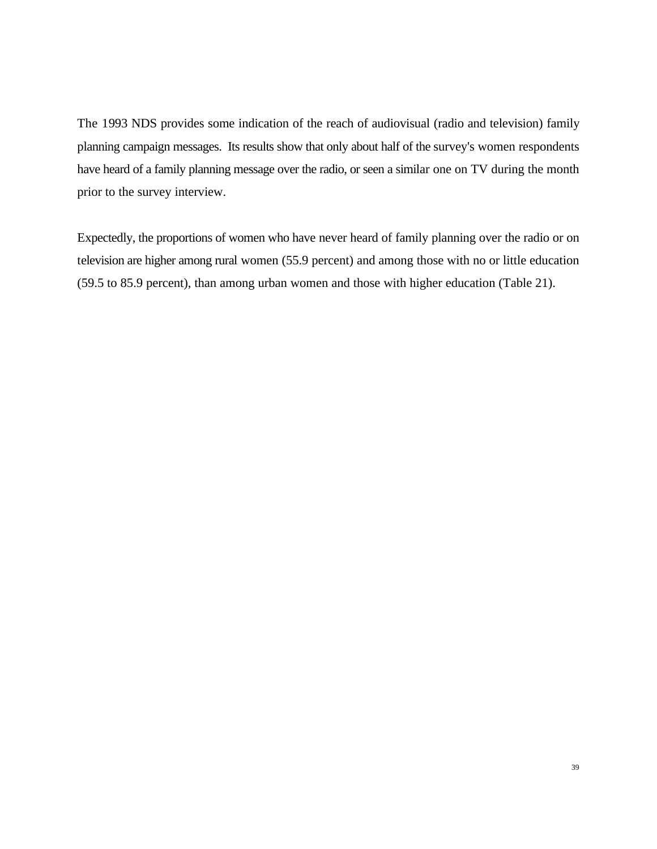The 1993 NDS provides some indication of the reach of audiovisual (radio and television) family planning campaign messages. Its results show that only about half of the survey's women respondents have heard of a family planning message over the radio, or seen a similar one on TV during the month prior to the survey interview.

Expectedly, the proportions of women who have never heard of family planning over the radio or on television are higher among rural women (55.9 percent) and among those with no or little education (59.5 to 85.9 percent), than among urban women and those with higher education (Table 21).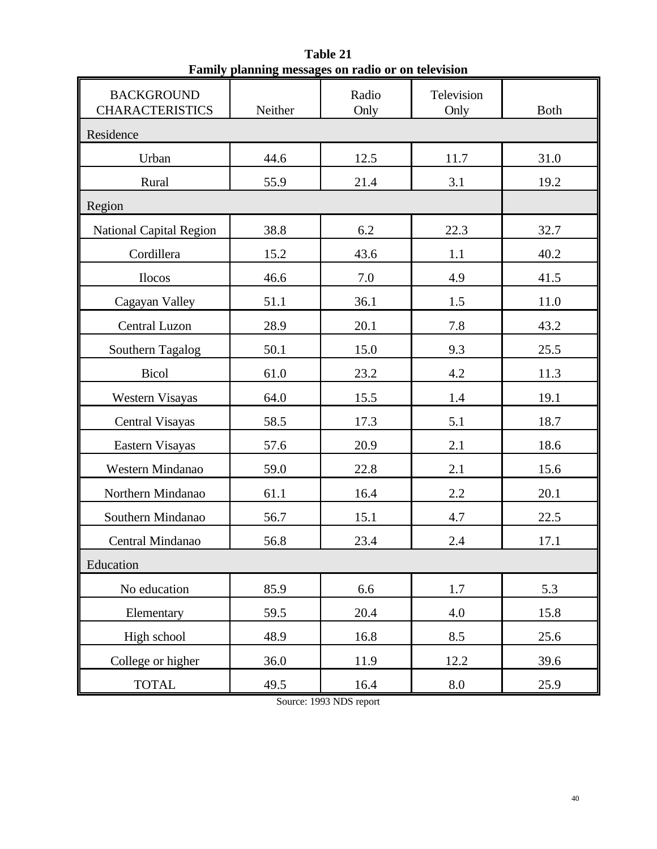| <b>BACKGROUND</b><br><b>CHARACTERISTICS</b> | Neither | Radio<br>Only | Television<br>Only | <b>Both</b> |  |  |  |
|---------------------------------------------|---------|---------------|--------------------|-------------|--|--|--|
| Residence                                   |         |               |                    |             |  |  |  |
| Urban                                       | 44.6    | 12.5          | 11.7               | 31.0        |  |  |  |
| Rural                                       | 55.9    | 21.4          | 3.1                | 19.2        |  |  |  |
| Region                                      |         |               |                    |             |  |  |  |
| <b>National Capital Region</b>              | 38.8    | 6.2           | 22.3               | 32.7        |  |  |  |
| Cordillera                                  | 15.2    | 43.6          | 1.1                | 40.2        |  |  |  |
| Ilocos                                      | 46.6    | 7.0           | 4.9                | 41.5        |  |  |  |
| Cagayan Valley                              | 51.1    | 36.1          | 1.5                | 11.0        |  |  |  |
| Central Luzon                               | 28.9    | 20.1          | 7.8                | 43.2        |  |  |  |
| Southern Tagalog                            | 50.1    | 15.0          | 9.3                | 25.5        |  |  |  |
| <b>Bicol</b>                                | 61.0    | 23.2          | 4.2                | 11.3        |  |  |  |
| Western Visayas                             | 64.0    | 15.5          | 1.4                | 19.1        |  |  |  |
| <b>Central Visayas</b>                      | 58.5    | 17.3          | 5.1                | 18.7        |  |  |  |
| Eastern Visayas                             | 57.6    | 20.9          | 2.1                | 18.6        |  |  |  |
| Western Mindanao                            | 59.0    | 22.8          | 2.1                | 15.6        |  |  |  |
| Northern Mindanao                           | 61.1    | 16.4          | 2.2                | 20.1        |  |  |  |
| Southern Mindanao                           | 56.7    | 15.1          | 4.7                | 22.5        |  |  |  |
| Central Mindanao                            | 56.8    | 23.4          | 2.4                | 17.1        |  |  |  |
| Education                                   |         |               |                    |             |  |  |  |
| No education                                | 85.9    | 6.6           | 1.7                | 5.3         |  |  |  |
| Elementary                                  | 59.5    | 20.4          | 4.0                | 15.8        |  |  |  |
| High school                                 | 48.9    | 16.8          | 8.5                | 25.6        |  |  |  |
| College or higher                           | 36.0    | 11.9          | 12.2               | 39.6        |  |  |  |
| <b>TOTAL</b>                                | 49.5    | 16.4          | $\rm 8.0$          | 25.9        |  |  |  |

**Table 21 Family planning messages on radio or on television**

Source: 1993 NDS report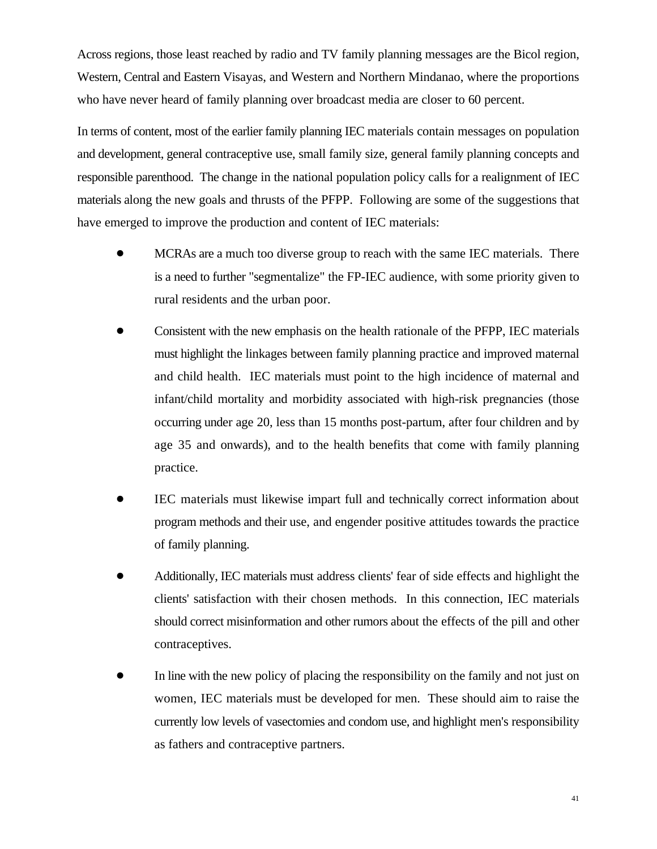Across regions, those least reached by radio and TV family planning messages are the Bicol region, Western, Central and Eastern Visayas, and Western and Northern Mindanao, where the proportions who have never heard of family planning over broadcast media are closer to 60 percent.

In terms of content, most of the earlier family planning IEC materials contain messages on population and development, general contraceptive use, small family size, general family planning concepts and responsible parenthood. The change in the national population policy calls for a realignment of IEC materials along the new goals and thrusts of the PFPP. Following are some of the suggestions that have emerged to improve the production and content of IEC materials:

- ! MCRAs are a much too diverse group to reach with the same IEC materials. There is a need to further "segmentalize" the FP-IEC audience, with some priority given to rural residents and the urban poor.
- ! Consistent with the new emphasis on the health rationale of the PFPP, IEC materials must highlight the linkages between family planning practice and improved maternal and child health. IEC materials must point to the high incidence of maternal and infant/child mortality and morbidity associated with high-risk pregnancies (those occurring under age 20, less than 15 months post-partum, after four children and by age 35 and onwards), and to the health benefits that come with family planning practice.
- ! IEC materials must likewise impart full and technically correct information about program methods and their use, and engender positive attitudes towards the practice of family planning.
- ! Additionally, IEC materials must address clients' fear of side effects and highlight the clients' satisfaction with their chosen methods. In this connection, IEC materials should correct misinformation and other rumors about the effects of the pill and other contraceptives.
- In line with the new policy of placing the responsibility on the family and not just on women, IEC materials must be developed for men. These should aim to raise the currently low levels of vasectomies and condom use, and highlight men's responsibility as fathers and contraceptive partners.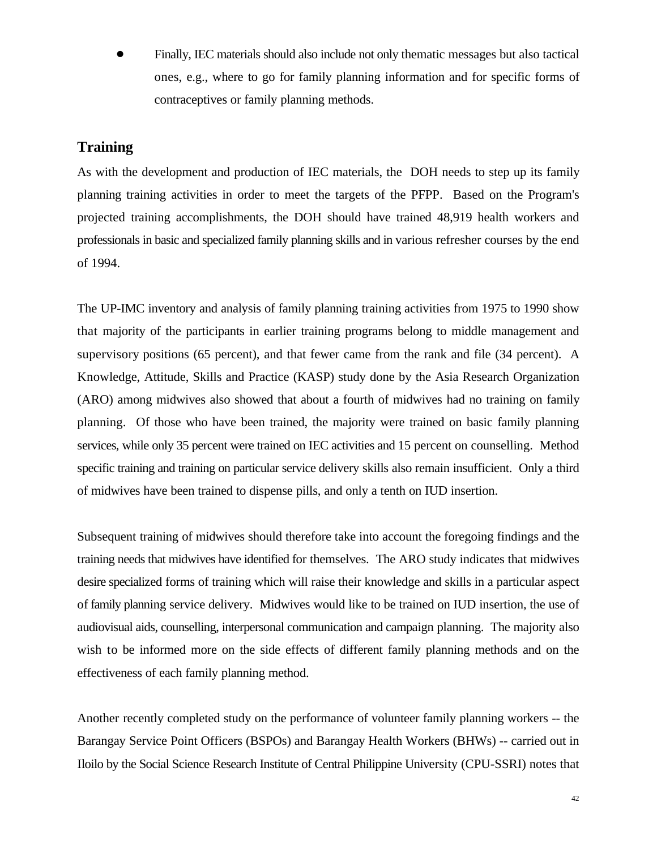! Finally, IEC materials should also include not only thematic messages but also tactical ones, e.g., where to go for family planning information and for specific forms of contraceptives or family planning methods.

### **Training**

As with the development and production of IEC materials, the DOH needs to step up its family planning training activities in order to meet the targets of the PFPP. Based on the Program's projected training accomplishments, the DOH should have trained 48,919 health workers and professionals in basic and specialized family planning skills and in various refresher courses by the end of 1994.

The UP-IMC inventory and analysis of family planning training activities from 1975 to 1990 show that majority of the participants in earlier training programs belong to middle management and supervisory positions (65 percent), and that fewer came from the rank and file (34 percent). A Knowledge, Attitude, Skills and Practice (KASP) study done by the Asia Research Organization (ARO) among midwives also showed that about a fourth of midwives had no training on family planning. Of those who have been trained, the majority were trained on basic family planning services, while only 35 percent were trained on IEC activities and 15 percent on counselling. Method specific training and training on particular service delivery skills also remain insufficient. Only a third of midwives have been trained to dispense pills, and only a tenth on IUD insertion.

Subsequent training of midwives should therefore take into account the foregoing findings and the training needs that midwives have identified for themselves. The ARO study indicates that midwives desire specialized forms of training which will raise their knowledge and skills in a particular aspect of family planning service delivery. Midwives would like to be trained on IUD insertion, the use of audiovisual aids, counselling, interpersonal communication and campaign planning. The majority also wish to be informed more on the side effects of different family planning methods and on the effectiveness of each family planning method.

Another recently completed study on the performance of volunteer family planning workers -- the Barangay Service Point Officers (BSPOs) and Barangay Health Workers (BHWs) -- carried out in Iloilo by the Social Science Research Institute of Central Philippine University (CPU-SSRI) notes that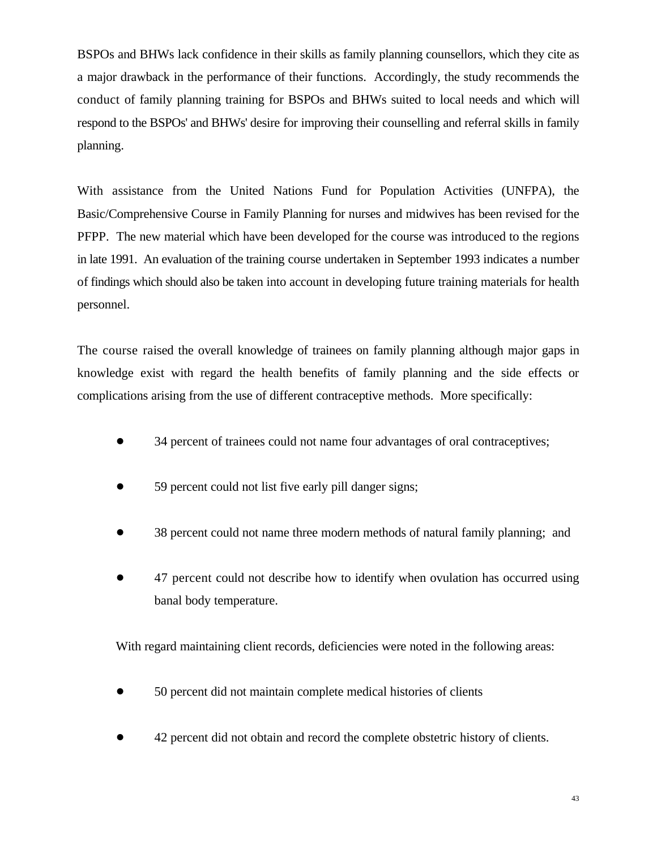BSPOs and BHWs lack confidence in their skills as family planning counsellors, which they cite as a major drawback in the performance of their functions. Accordingly, the study recommends the conduct of family planning training for BSPOs and BHWs suited to local needs and which will respond to the BSPOs' and BHWs' desire for improving their counselling and referral skills in family planning.

With assistance from the United Nations Fund for Population Activities (UNFPA), the Basic/Comprehensive Course in Family Planning for nurses and midwives has been revised for the PFPP. The new material which have been developed for the course was introduced to the regions in late 1991. An evaluation of the training course undertaken in September 1993 indicates a number of findings which should also be taken into account in developing future training materials for health personnel.

The course raised the overall knowledge of trainees on family planning although major gaps in knowledge exist with regard the health benefits of family planning and the side effects or complications arising from the use of different contraceptive methods. More specifically:

- 34 percent of trainees could not name four advantages of oral contraceptives;
- 59 percent could not list five early pill danger signs;
- 38 percent could not name three modern methods of natural family planning; and
- 47 percent could not describe how to identify when ovulation has occurred using banal body temperature.

With regard maintaining client records, deficiencies were noted in the following areas:

- 50 percent did not maintain complete medical histories of clients
- ! 42 percent did not obtain and record the complete obstetric history of clients.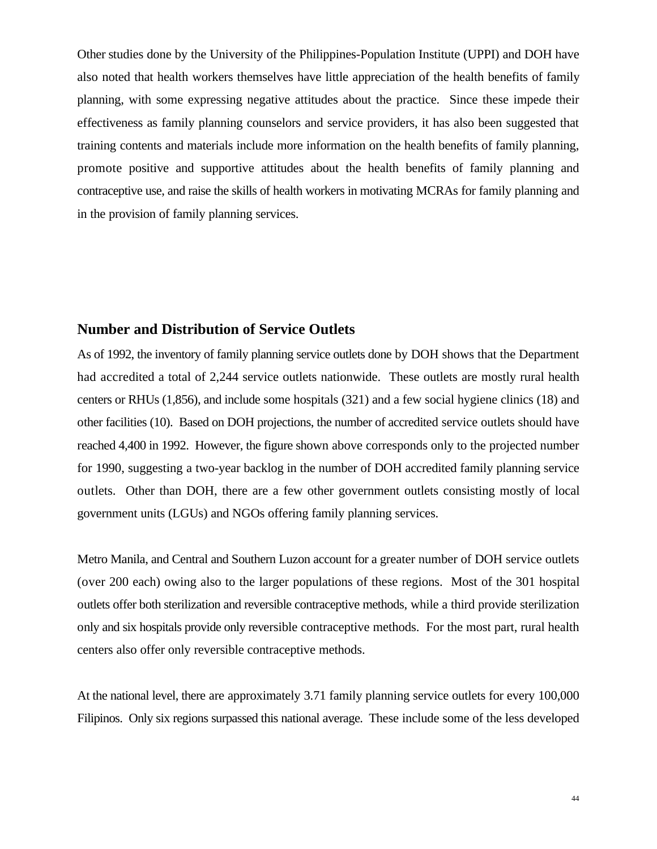Other studies done by the University of the Philippines-Population Institute (UPPI) and DOH have also noted that health workers themselves have little appreciation of the health benefits of family planning, with some expressing negative attitudes about the practice. Since these impede their effectiveness as family planning counselors and service providers, it has also been suggested that training contents and materials include more information on the health benefits of family planning, promote positive and supportive attitudes about the health benefits of family planning and contraceptive use, and raise the skills of health workers in motivating MCRAs for family planning and in the provision of family planning services.

#### **Number and Distribution of Service Outlets**

As of 1992, the inventory of family planning service outlets done by DOH shows that the Department had accredited a total of 2,244 service outlets nationwide. These outlets are mostly rural health centers or RHUs (1,856), and include some hospitals (321) and a few social hygiene clinics (18) and other facilities (10). Based on DOH projections, the number of accredited service outlets should have reached 4,400 in 1992. However, the figure shown above corresponds only to the projected number for 1990, suggesting a two-year backlog in the number of DOH accredited family planning service outlets. Other than DOH, there are a few other government outlets consisting mostly of local government units (LGUs) and NGOs offering family planning services.

Metro Manila, and Central and Southern Luzon account for a greater number of DOH service outlets (over 200 each) owing also to the larger populations of these regions. Most of the 301 hospital outlets offer both sterilization and reversible contraceptive methods, while a third provide sterilization only and six hospitals provide only reversible contraceptive methods. For the most part, rural health centers also offer only reversible contraceptive methods.

At the national level, there are approximately 3.71 family planning service outlets for every 100,000 Filipinos. Only six regions surpassed this national average. These include some of the less developed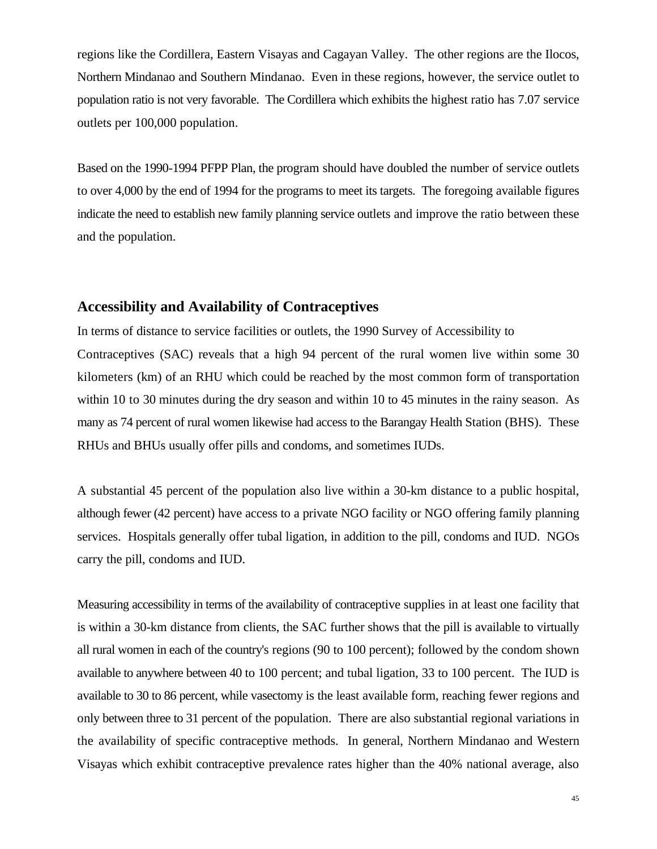regions like the Cordillera, Eastern Visayas and Cagayan Valley. The other regions are the Ilocos, Northern Mindanao and Southern Mindanao. Even in these regions, however, the service outlet to population ratio is not very favorable. The Cordillera which exhibits the highest ratio has 7.07 service outlets per 100,000 population.

Based on the 1990-1994 PFPP Plan, the program should have doubled the number of service outlets to over 4,000 by the end of 1994 for the programs to meet its targets. The foregoing available figures indicate the need to establish new family planning service outlets and improve the ratio between these and the population.

#### **Accessibility and Availability of Contraceptives**

In terms of distance to service facilities or outlets, the 1990 Survey of Accessibility to Contraceptives (SAC) reveals that a high 94 percent of the rural women live within some 30 kilometers (km) of an RHU which could be reached by the most common form of transportation within 10 to 30 minutes during the dry season and within 10 to 45 minutes in the rainy season. As many as 74 percent of rural women likewise had access to the Barangay Health Station (BHS). These RHUs and BHUs usually offer pills and condoms, and sometimes IUDs.

A substantial 45 percent of the population also live within a 30-km distance to a public hospital, although fewer (42 percent) have access to a private NGO facility or NGO offering family planning services. Hospitals generally offer tubal ligation, in addition to the pill, condoms and IUD. NGOs carry the pill, condoms and IUD.

Measuring accessibility in terms of the availability of contraceptive supplies in at least one facility that is within a 30-km distance from clients, the SAC further shows that the pill is available to virtually all rural women in each of the country's regions (90 to 100 percent); followed by the condom shown available to anywhere between 40 to 100 percent; and tubal ligation, 33 to 100 percent. The IUD is available to 30 to 86 percent, while vasectomy is the least available form, reaching fewer regions and only between three to 31 percent of the population. There are also substantial regional variations in the availability of specific contraceptive methods. In general, Northern Mindanao and Western Visayas which exhibit contraceptive prevalence rates higher than the 40% national average, also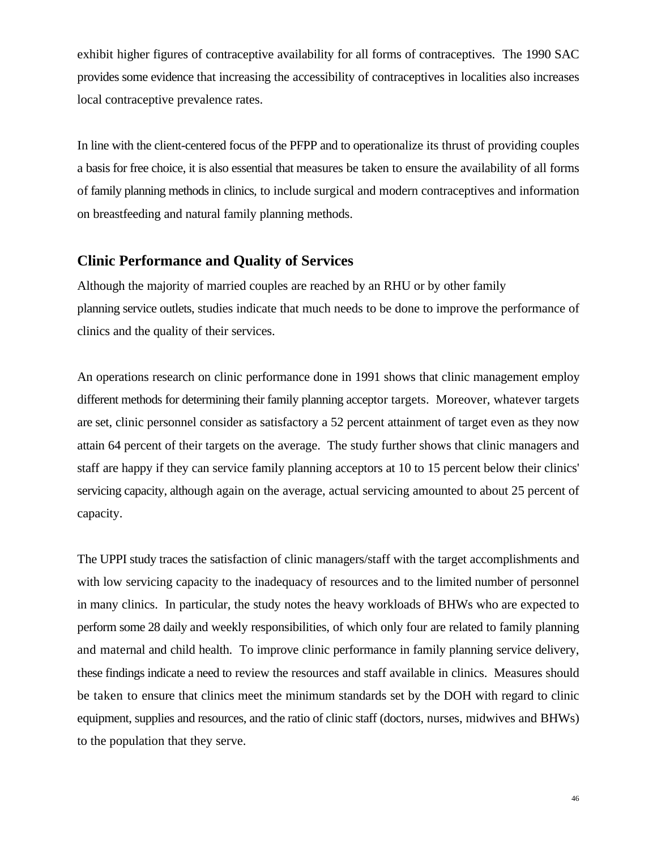exhibit higher figures of contraceptive availability for all forms of contraceptives. The 1990 SAC provides some evidence that increasing the accessibility of contraceptives in localities also increases local contraceptive prevalence rates.

In line with the client-centered focus of the PFPP and to operationalize its thrust of providing couples a basis for free choice, it is also essential that measures be taken to ensure the availability of all forms of family planning methods in clinics, to include surgical and modern contraceptives and information on breastfeeding and natural family planning methods.

# **Clinic Performance and Quality of Services**

Although the majority of married couples are reached by an RHU or by other family planning service outlets, studies indicate that much needs to be done to improve the performance of clinics and the quality of their services.

An operations research on clinic performance done in 1991 shows that clinic management employ different methods for determining their family planning acceptor targets. Moreover, whatever targets are set, clinic personnel consider as satisfactory a 52 percent attainment of target even as they now attain 64 percent of their targets on the average. The study further shows that clinic managers and staff are happy if they can service family planning acceptors at 10 to 15 percent below their clinics' servicing capacity, although again on the average, actual servicing amounted to about 25 percent of capacity.

The UPPI study traces the satisfaction of clinic managers/staff with the target accomplishments and with low servicing capacity to the inadequacy of resources and to the limited number of personnel in many clinics. In particular, the study notes the heavy workloads of BHWs who are expected to perform some 28 daily and weekly responsibilities, of which only four are related to family planning and maternal and child health. To improve clinic performance in family planning service delivery, these findings indicate a need to review the resources and staff available in clinics. Measures should be taken to ensure that clinics meet the minimum standards set by the DOH with regard to clinic equipment, supplies and resources, and the ratio of clinic staff (doctors, nurses, midwives and BHWs) to the population that they serve.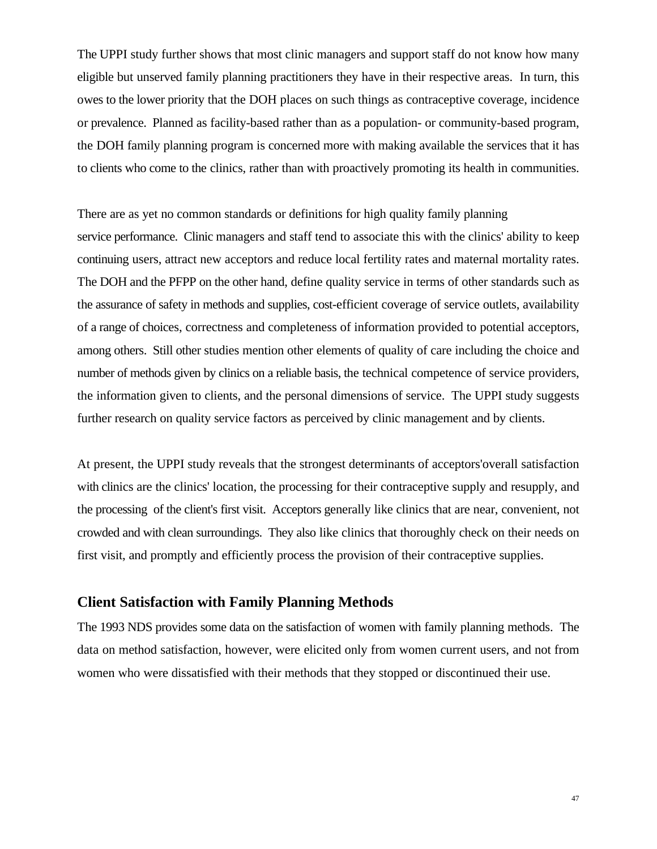The UPPI study further shows that most clinic managers and support staff do not know how many eligible but unserved family planning practitioners they have in their respective areas. In turn, this owes to the lower priority that the DOH places on such things as contraceptive coverage, incidence or prevalence. Planned as facility-based rather than as a population- or community-based program, the DOH family planning program is concerned more with making available the services that it has to clients who come to the clinics, rather than with proactively promoting its health in communities.

There are as yet no common standards or definitions for high quality family planning service performance. Clinic managers and staff tend to associate this with the clinics' ability to keep continuing users, attract new acceptors and reduce local fertility rates and maternal mortality rates. The DOH and the PFPP on the other hand, define quality service in terms of other standards such as the assurance of safety in methods and supplies, cost-efficient coverage of service outlets, availability of a range of choices, correctness and completeness of information provided to potential acceptors, among others. Still other studies mention other elements of quality of care including the choice and number of methods given by clinics on a reliable basis, the technical competence of service providers, the information given to clients, and the personal dimensions of service. The UPPI study suggests further research on quality service factors as perceived by clinic management and by clients.

At present, the UPPI study reveals that the strongest determinants of acceptors'overall satisfaction with clinics are the clinics' location, the processing for their contraceptive supply and resupply, and the processing of the client's first visit. Acceptors generally like clinics that are near, convenient, not crowded and with clean surroundings. They also like clinics that thoroughly check on their needs on first visit, and promptly and efficiently process the provision of their contraceptive supplies.

# **Client Satisfaction with Family Planning Methods**

The 1993 NDS provides some data on the satisfaction of women with family planning methods. The data on method satisfaction, however, were elicited only from women current users, and not from women who were dissatisfied with their methods that they stopped or discontinued their use.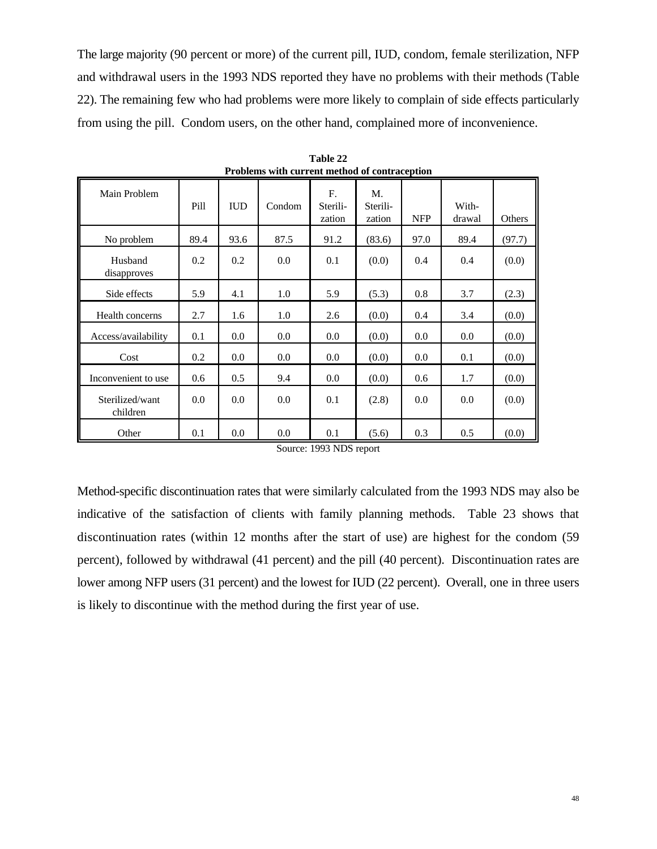The large majority (90 percent or more) of the current pill, IUD, condom, female sterilization, NFP and withdrawal users in the 1993 NDS reported they have no problems with their methods (Table 22). The remaining few who had problems were more likely to complain of side effects particularly from using the pill. Condom users, on the other hand, complained more of inconvenience.

| Main Problem                | Pill | <b>IUD</b> | Condom | $F_{\cdot}$<br>Sterili-<br>zation | M.<br>Sterili-<br>zation | <b>NFP</b> | With-<br>drawal | Others |
|-----------------------------|------|------------|--------|-----------------------------------|--------------------------|------------|-----------------|--------|
| No problem                  | 89.4 | 93.6       | 87.5   | 91.2                              | (83.6)                   | 97.0       | 89.4            | (97.7) |
| Husband<br>disapproves      | 0.2  | 0.2        | 0.0    | 0.1                               | (0.0)                    | 0.4        | 0.4             | (0.0)  |
| Side effects                | 5.9  | 4.1        | 1.0    | 5.9                               | (5.3)                    | 0.8        | 3.7             | (2.3)  |
| Health concerns             | 2.7  | 1.6        | 1.0    | 2.6                               | (0.0)                    | 0.4        | 3.4             | (0.0)  |
| Access/availability         | 0.1  | 0.0        | 0.0    | 0.0                               | (0.0)                    | 0.0        | 0.0             | (0.0)  |
| Cost                        | 0.2  | 0.0        | 0.0    | 0.0                               | (0.0)                    | 0.0        | 0.1             | (0.0)  |
| Inconvenient to use         | 0.6  | 0.5        | 9.4    | 0.0                               | (0.0)                    | 0.6        | 1.7             | (0.0)  |
| Sterilized/want<br>children | 0.0  | 0.0        | 0.0    | 0.1                               | (2.8)                    | 0.0        | 0.0             | (0.0)  |
| Other                       | 0.1  | 0.0        | 0.0    | 0.1                               | (5.6)                    | 0.3        | 0.5             | (0.0)  |

**Table 22 Problems with current method of contraception**

Source: 1993 NDS report

Method-specific discontinuation rates that were similarly calculated from the 1993 NDS may also be indicative of the satisfaction of clients with family planning methods. Table 23 shows that discontinuation rates (within 12 months after the start of use) are highest for the condom (59 percent), followed by withdrawal (41 percent) and the pill (40 percent). Discontinuation rates are lower among NFP users (31 percent) and the lowest for IUD (22 percent). Overall, one in three users is likely to discontinue with the method during the first year of use.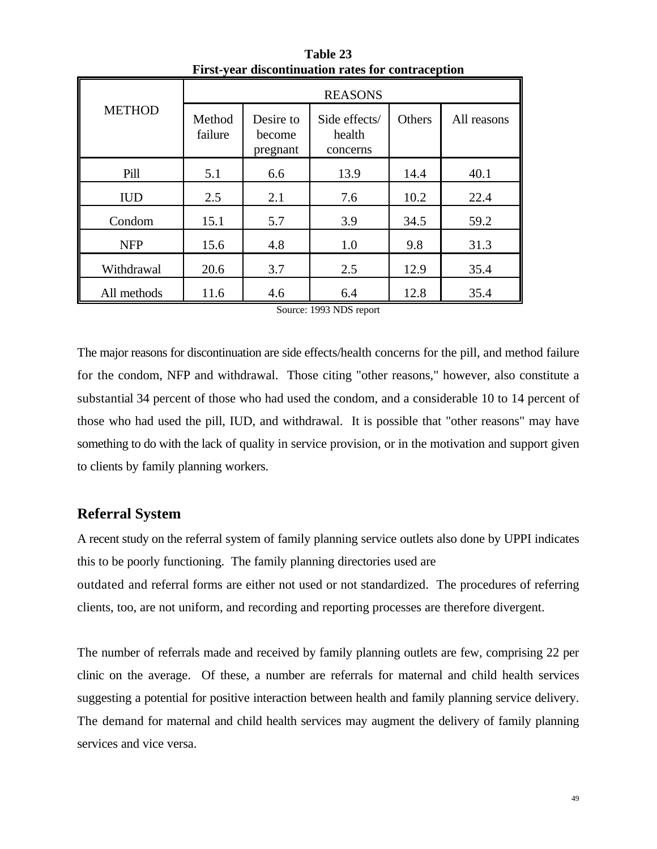|               | <b>REASONS</b>    |                                 |                                     |        |             |  |
|---------------|-------------------|---------------------------------|-------------------------------------|--------|-------------|--|
| <b>METHOD</b> | Method<br>failure | Desire to<br>become<br>pregnant | Side effects/<br>health<br>concerns | Others | All reasons |  |
| Pill          | 5.1               | 6.6                             | 13.9                                | 14.4   | 40.1        |  |
| <b>IUD</b>    | 2.5               | 2.1                             | 7.6                                 | 10.2   | 22.4        |  |
| Condom        | 15.1              | 5.7                             | 3.9                                 | 34.5   | 59.2        |  |
| <b>NFP</b>    | 15.6              | 4.8                             | 1.0                                 | 9.8    | 31.3        |  |
| Withdrawal    | 20.6              | 3.7                             | 2.5                                 | 12.9   | 35.4        |  |
| All methods   | 11.6              | 4.6                             | 6.4                                 | 12.8   | 35.4        |  |

**Table 23 First-year discontinuation rates for contraception**

Source: 1993 NDS report

The major reasons for discontinuation are side effects/health concerns for the pill, and method failure for the condom, NFP and withdrawal. Those citing "other reasons," however, also constitute a substantial 34 percent of those who had used the condom, and a considerable 10 to 14 percent of those who had used the pill, IUD, and withdrawal. It is possible that "other reasons" may have something to do with the lack of quality in service provision, or in the motivation and support given to clients by family planning workers.

#### **Referral System**

A recent study on the referral system of family planning service outlets also done by UPPI indicates this to be poorly functioning. The family planning directories used are outdated and referral forms are either not used or not standardized. The procedures of referring clients, too, are not uniform, and recording and reporting processes are therefore divergent.

The number of referrals made and received by family planning outlets are few, comprising 22 per clinic on the average. Of these, a number are referrals for maternal and child health services suggesting a potential for positive interaction between health and family planning service delivery. The demand for maternal and child health services may augment the delivery of family planning services and vice versa.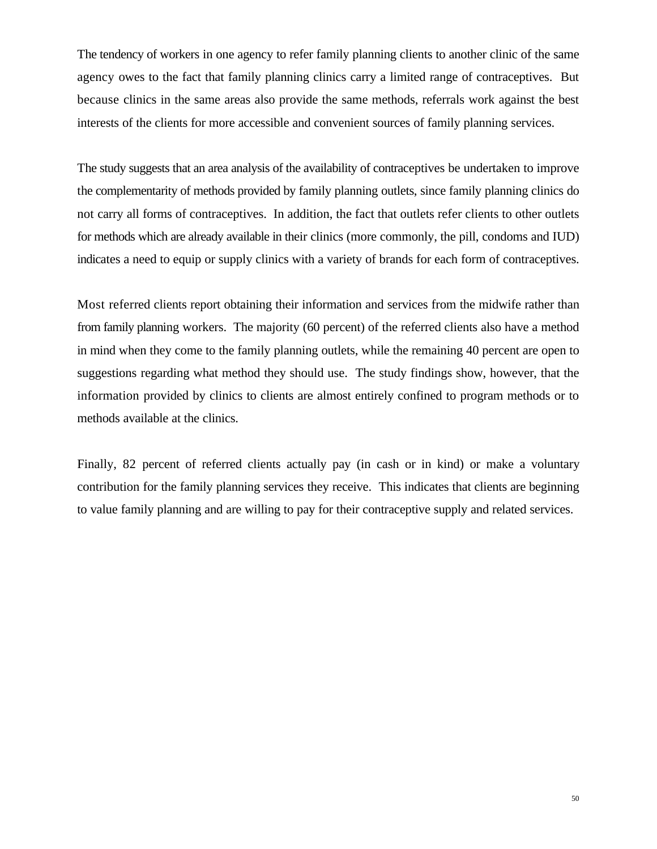The tendency of workers in one agency to refer family planning clients to another clinic of the same agency owes to the fact that family planning clinics carry a limited range of contraceptives. But because clinics in the same areas also provide the same methods, referrals work against the best interests of the clients for more accessible and convenient sources of family planning services.

The study suggests that an area analysis of the availability of contraceptives be undertaken to improve the complementarity of methods provided by family planning outlets, since family planning clinics do not carry all forms of contraceptives. In addition, the fact that outlets refer clients to other outlets for methods which are already available in their clinics (more commonly, the pill, condoms and IUD) indicates a need to equip or supply clinics with a variety of brands for each form of contraceptives.

Most referred clients report obtaining their information and services from the midwife rather than from family planning workers. The majority (60 percent) of the referred clients also have a method in mind when they come to the family planning outlets, while the remaining 40 percent are open to suggestions regarding what method they should use. The study findings show, however, that the information provided by clinics to clients are almost entirely confined to program methods or to methods available at the clinics.

Finally, 82 percent of referred clients actually pay (in cash or in kind) or make a voluntary contribution for the family planning services they receive. This indicates that clients are beginning to value family planning and are willing to pay for their contraceptive supply and related services.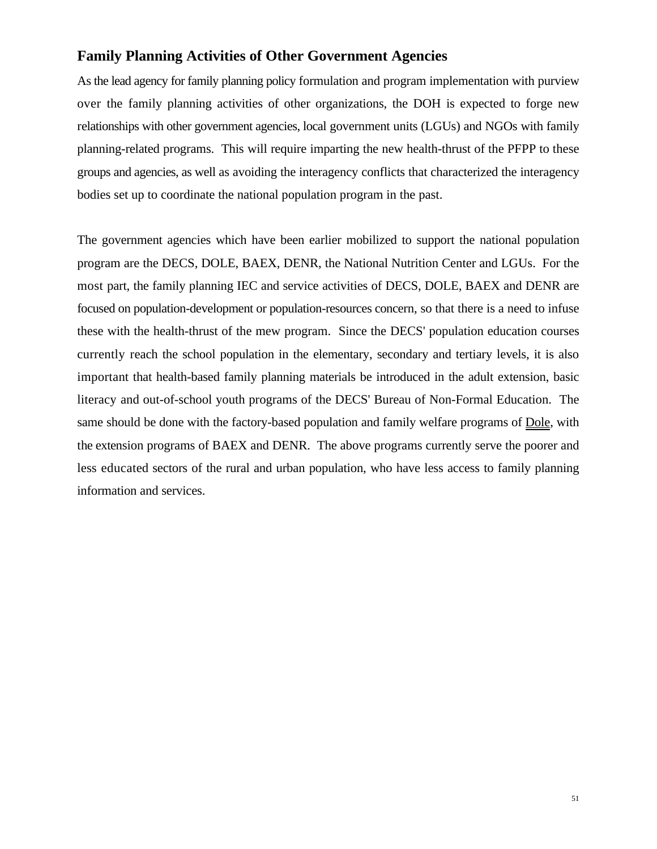# **Family Planning Activities of Other Government Agencies**

As the lead agency for family planning policy formulation and program implementation with purview over the family planning activities of other organizations, the DOH is expected to forge new relationships with other government agencies, local government units (LGUs) and NGOs with family planning-related programs. This will require imparting the new health-thrust of the PFPP to these groups and agencies, as well as avoiding the interagency conflicts that characterized the interagency bodies set up to coordinate the national population program in the past.

The government agencies which have been earlier mobilized to support the national population program are the DECS, DOLE, BAEX, DENR, the National Nutrition Center and LGUs. For the most part, the family planning IEC and service activities of DECS, DOLE, BAEX and DENR are focused on population-development or population-resources concern, so that there is a need to infuse these with the health-thrust of the mew program. Since the DECS' population education courses currently reach the school population in the elementary, secondary and tertiary levels, it is also important that health-based family planning materials be introduced in the adult extension, basic literacy and out-of-school youth programs of the DECS' Bureau of Non-Formal Education. The same should be done with the factory-based population and family welfare programs of Dole, with the extension programs of BAEX and DENR. The above programs currently serve the poorer and less educated sectors of the rural and urban population, who have less access to family planning information and services.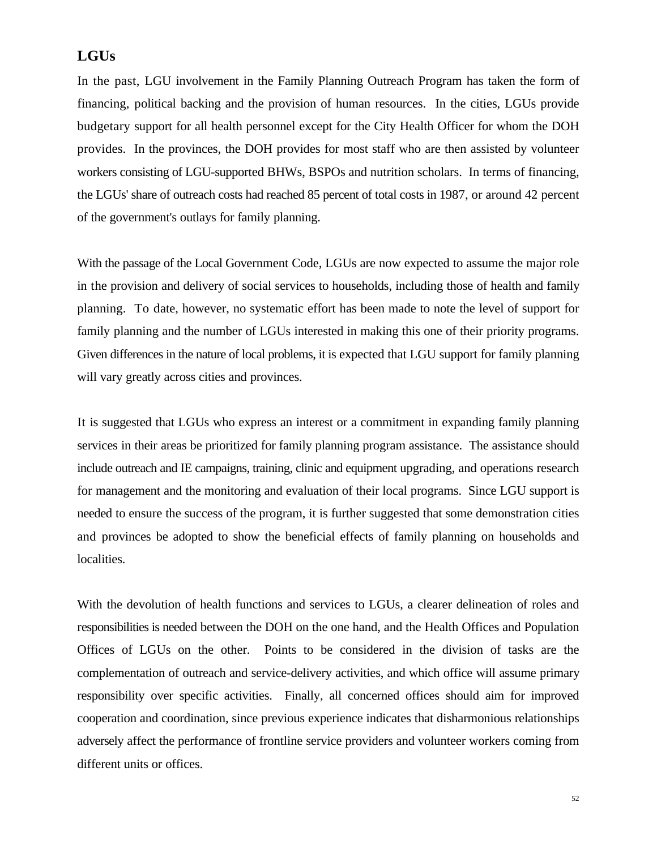## **LGUs**

In the past, LGU involvement in the Family Planning Outreach Program has taken the form of financing, political backing and the provision of human resources. In the cities, LGUs provide budgetary support for all health personnel except for the City Health Officer for whom the DOH provides. In the provinces, the DOH provides for most staff who are then assisted by volunteer workers consisting of LGU-supported BHWs, BSPOs and nutrition scholars. In terms of financing, the LGUs' share of outreach costs had reached 85 percent of total costs in 1987, or around 42 percent of the government's outlays for family planning.

With the passage of the Local Government Code, LGUs are now expected to assume the major role in the provision and delivery of social services to households, including those of health and family planning. To date, however, no systematic effort has been made to note the level of support for family planning and the number of LGUs interested in making this one of their priority programs. Given differences in the nature of local problems, it is expected that LGU support for family planning will vary greatly across cities and provinces.

It is suggested that LGUs who express an interest or a commitment in expanding family planning services in their areas be prioritized for family planning program assistance. The assistance should include outreach and IE campaigns, training, clinic and equipment upgrading, and operations research for management and the monitoring and evaluation of their local programs. Since LGU support is needed to ensure the success of the program, it is further suggested that some demonstration cities and provinces be adopted to show the beneficial effects of family planning on households and localities.

With the devolution of health functions and services to LGUs, a clearer delineation of roles and responsibilities is needed between the DOH on the one hand, and the Health Offices and Population Offices of LGUs on the other. Points to be considered in the division of tasks are the complementation of outreach and service-delivery activities, and which office will assume primary responsibility over specific activities. Finally, all concerned offices should aim for improved cooperation and coordination, since previous experience indicates that disharmonious relationships adversely affect the performance of frontline service providers and volunteer workers coming from different units or offices.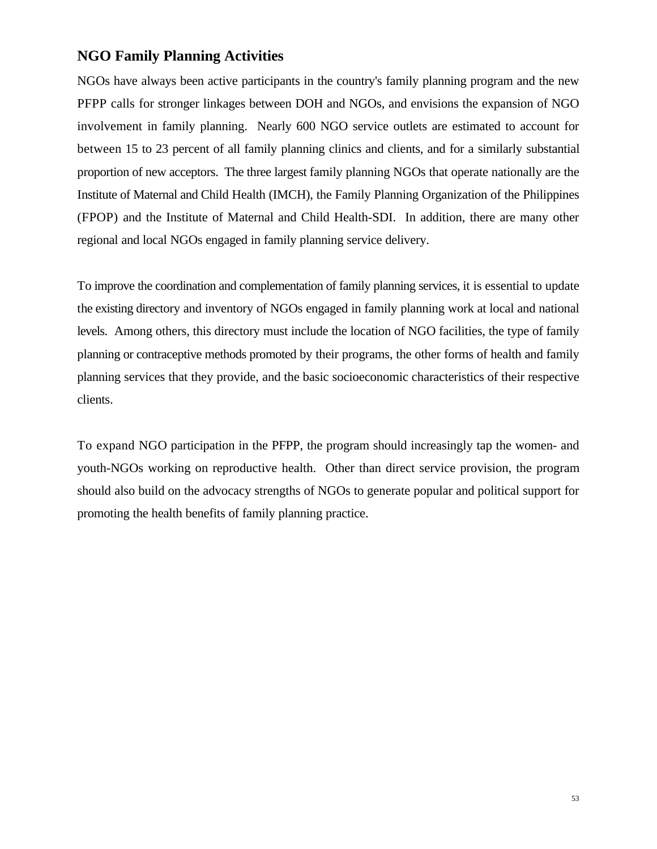# **NGO Family Planning Activities**

NGOs have always been active participants in the country's family planning program and the new PFPP calls for stronger linkages between DOH and NGOs, and envisions the expansion of NGO involvement in family planning. Nearly 600 NGO service outlets are estimated to account for between 15 to 23 percent of all family planning clinics and clients, and for a similarly substantial proportion of new acceptors. The three largest family planning NGOs that operate nationally are the Institute of Maternal and Child Health (IMCH), the Family Planning Organization of the Philippines (FPOP) and the Institute of Maternal and Child Health-SDI. In addition, there are many other regional and local NGOs engaged in family planning service delivery.

To improve the coordination and complementation of family planning services, it is essential to update the existing directory and inventory of NGOs engaged in family planning work at local and national levels. Among others, this directory must include the location of NGO facilities, the type of family planning or contraceptive methods promoted by their programs, the other forms of health and family planning services that they provide, and the basic socioeconomic characteristics of their respective clients.

To expand NGO participation in the PFPP, the program should increasingly tap the women- and youth-NGOs working on reproductive health. Other than direct service provision, the program should also build on the advocacy strengths of NGOs to generate popular and political support for promoting the health benefits of family planning practice.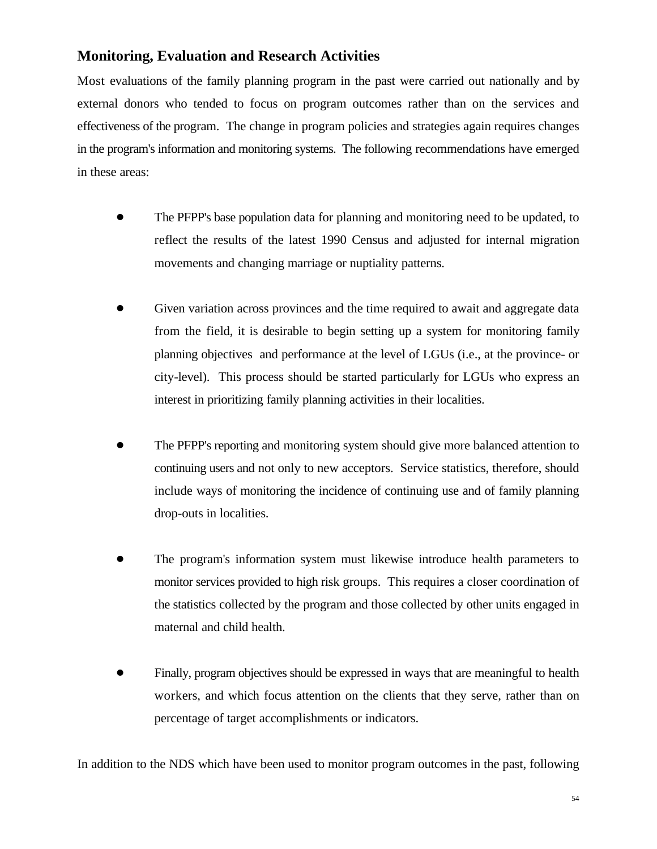# **Monitoring, Evaluation and Research Activities**

Most evaluations of the family planning program in the past were carried out nationally and by external donors who tended to focus on program outcomes rather than on the services and effectiveness of the program. The change in program policies and strategies again requires changes in the program's information and monitoring systems. The following recommendations have emerged in these areas:

- ! The PFPP's base population data for planning and monitoring need to be updated, to reflect the results of the latest 1990 Census and adjusted for internal migration movements and changing marriage or nuptiality patterns.
- ! Given variation across provinces and the time required to await and aggregate data from the field, it is desirable to begin setting up a system for monitoring family planning objectives and performance at the level of LGUs (i.e., at the province- or city-level). This process should be started particularly for LGUs who express an interest in prioritizing family planning activities in their localities.
- ! The PFPP's reporting and monitoring system should give more balanced attention to continuing users and not only to new acceptors. Service statistics, therefore, should include ways of monitoring the incidence of continuing use and of family planning drop-outs in localities.
- ! The program's information system must likewise introduce health parameters to monitor services provided to high risk groups. This requires a closer coordination of the statistics collected by the program and those collected by other units engaged in maternal and child health.
- ! Finally, program objectives should be expressed in ways that are meaningful to health workers, and which focus attention on the clients that they serve, rather than on percentage of target accomplishments or indicators.

In addition to the NDS which have been used to monitor program outcomes in the past, following